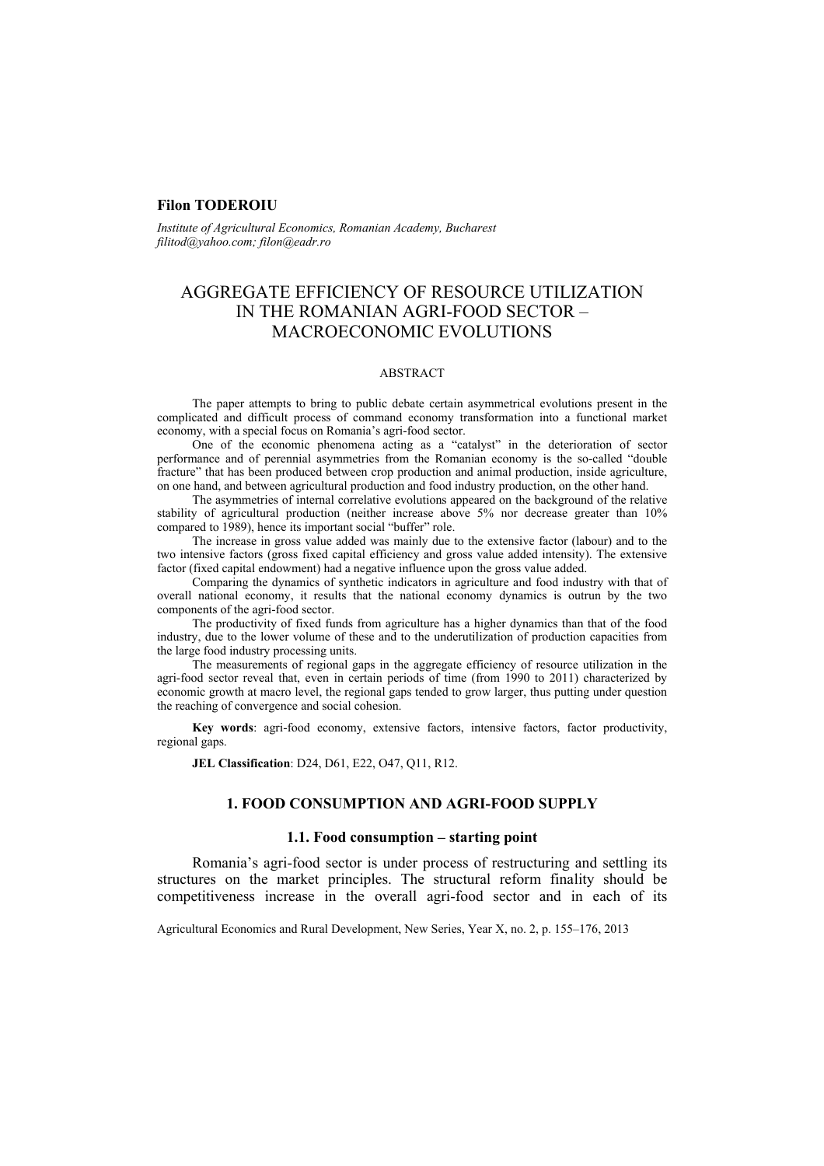### **Filon TODEROIU**

*Institute of Agricultural Economics, Romanian Academy, Bucharest filitod@yahoo.com; filon@eadr.ro* 

# AGGREGATE EFFICIENCY OF RESOURCE UTILIZATION IN THE ROMANIAN AGRI-FOOD SECTOR – MACROECONOMIC EVOLUTIONS

#### ABSTRACT

The paper attempts to bring to public debate certain asymmetrical evolutions present in the complicated and difficult process of command economy transformation into a functional market economy, with a special focus on Romania's agri-food sector.

One of the economic phenomena acting as a "catalyst" in the deterioration of sector performance and of perennial asymmetries from the Romanian economy is the so-called "double fracture" that has been produced between crop production and animal production, inside agriculture, on one hand, and between agricultural production and food industry production, on the other hand.

The asymmetries of internal correlative evolutions appeared on the background of the relative stability of agricultural production (neither increase above 5% nor decrease greater than 10% compared to 1989), hence its important social "buffer" role.

The increase in gross value added was mainly due to the extensive factor (labour) and to the two intensive factors (gross fixed capital efficiency and gross value added intensity). The extensive factor (fixed capital endowment) had a negative influence upon the gross value added.

Comparing the dynamics of synthetic indicators in agriculture and food industry with that of overall national economy, it results that the national economy dynamics is outrun by the two components of the agri-food sector.

The productivity of fixed funds from agriculture has a higher dynamics than that of the food industry, due to the lower volume of these and to the underutilization of production capacities from the large food industry processing units.

The measurements of regional gaps in the aggregate efficiency of resource utilization in the agri-food sector reveal that, even in certain periods of time (from 1990 to 2011) characterized by economic growth at macro level, the regional gaps tended to grow larger, thus putting under question the reaching of convergence and social cohesion.

**Key words**: agri-food economy, extensive factors, intensive factors, factor productivity, regional gaps.

**JEL Classification**: D24, D61, E22, O47, Q11, R12.

### **1. FOOD CONSUMPTION AND AGRI-FOOD SUPPLY**

#### **1.1. Food consumption – starting point**

Romania's agri-food sector is under process of restructuring and settling its structures on the market principles. The structural reform finality should be competitiveness increase in the overall agri-food sector and in each of its

Agricultural Economics and Rural Development, New Series, Year X, no. 2, p. 155–176, 2013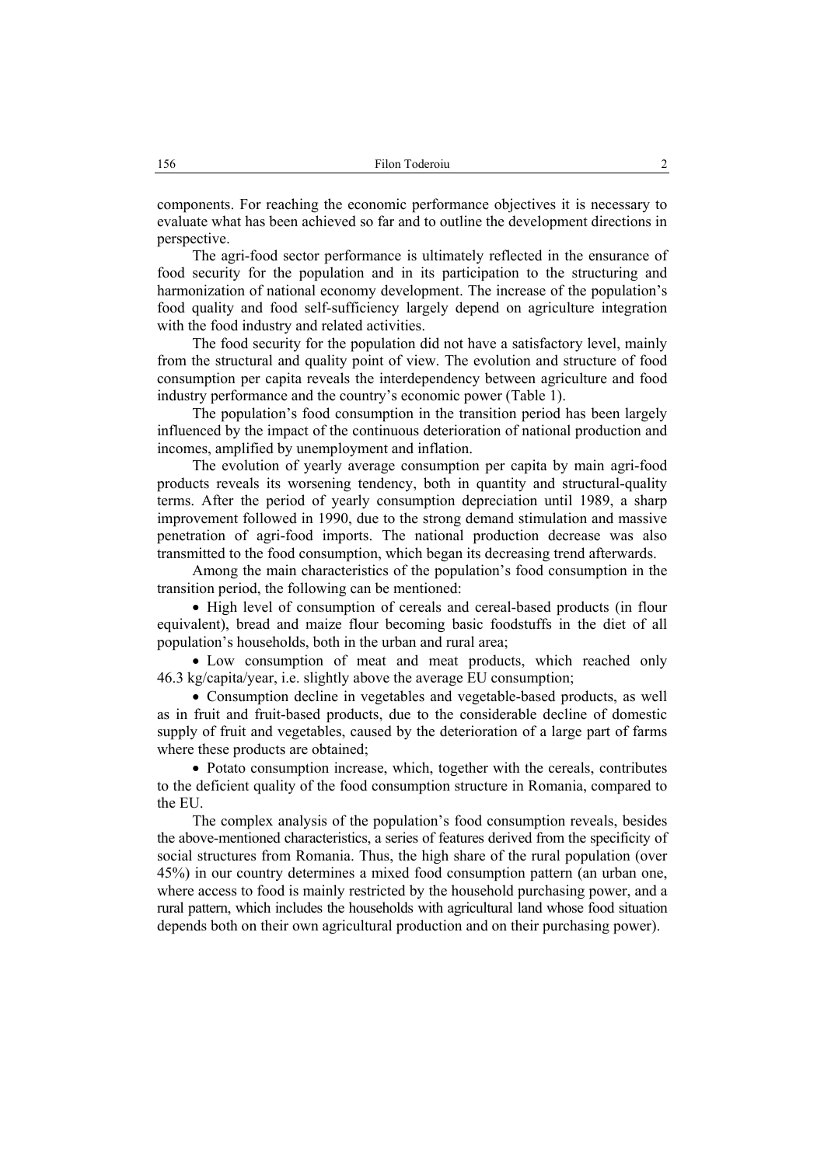components. For reaching the economic performance objectives it is necessary to evaluate what has been achieved so far and to outline the development directions in perspective.

The agri-food sector performance is ultimately reflected in the ensurance of food security for the population and in its participation to the structuring and harmonization of national economy development. The increase of the population's food quality and food self-sufficiency largely depend on agriculture integration with the food industry and related activities.

The food security for the population did not have a satisfactory level, mainly from the structural and quality point of view. The evolution and structure of food consumption per capita reveals the interdependency between agriculture and food industry performance and the country's economic power (Table 1).

The population's food consumption in the transition period has been largely influenced by the impact of the continuous deterioration of national production and incomes, amplified by unemployment and inflation.

The evolution of yearly average consumption per capita by main agri-food products reveals its worsening tendency, both in quantity and structural-quality terms. After the period of yearly consumption depreciation until 1989, a sharp improvement followed in 1990, due to the strong demand stimulation and massive penetration of agri-food imports. The national production decrease was also transmitted to the food consumption, which began its decreasing trend afterwards.

Among the main characteristics of the population's food consumption in the transition period, the following can be mentioned:

• High level of consumption of cereals and cereal-based products (in flour equivalent), bread and maize flour becoming basic foodstuffs in the diet of all population's households, both in the urban and rural area;

• Low consumption of meat and meat products, which reached only 46.3 kg/capita/year, i.e. slightly above the average EU consumption;

• Consumption decline in vegetables and vegetable-based products, as well as in fruit and fruit-based products, due to the considerable decline of domestic supply of fruit and vegetables, caused by the deterioration of a large part of farms where these products are obtained;

• Potato consumption increase, which, together with the cereals, contributes to the deficient quality of the food consumption structure in Romania, compared to the EU.

The complex analysis of the population's food consumption reveals, besides the above-mentioned characteristics, a series of features derived from the specificity of social structures from Romania. Thus, the high share of the rural population (over 45%) in our country determines a mixed food consumption pattern (an urban one, where access to food is mainly restricted by the household purchasing power, and a rural pattern, which includes the households with agricultural land whose food situation depends both on their own agricultural production and on their purchasing power).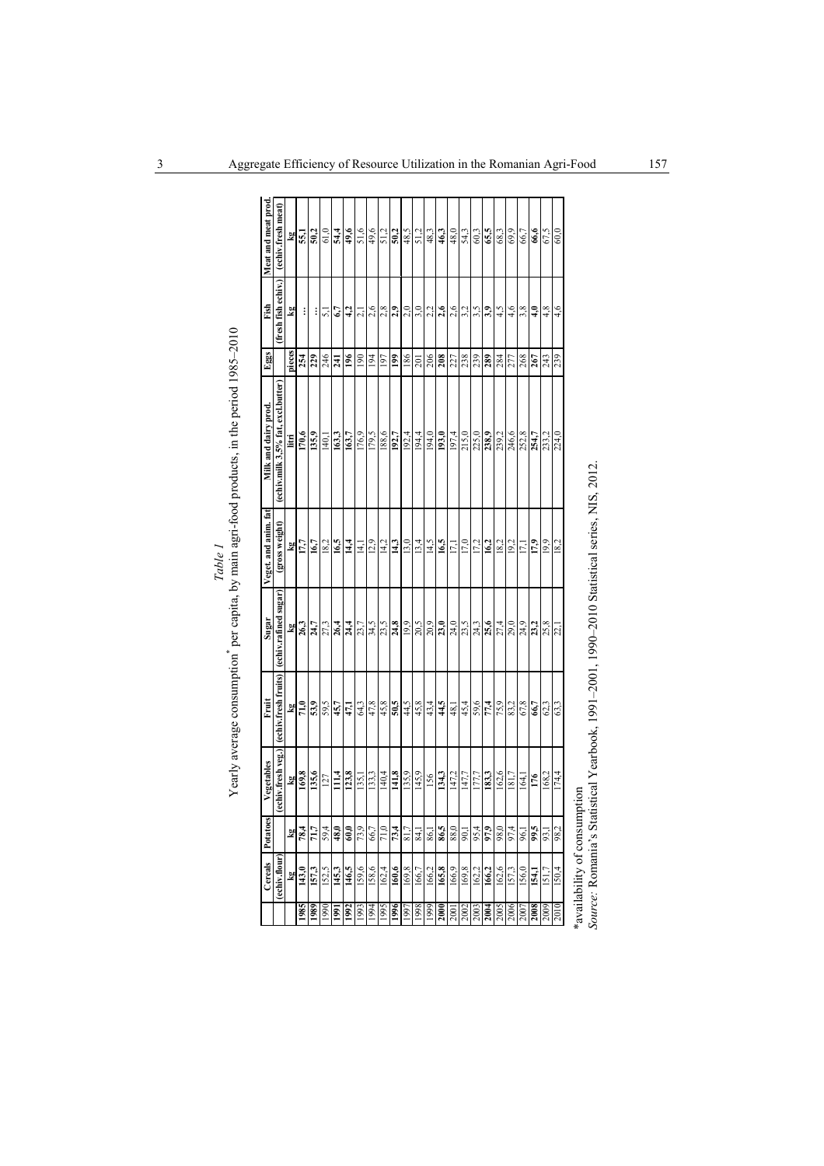|      | Cereals         | Potatoes          | Vegetables              | Fruit                | Sugar                   | Veget. and anim. fat | Milk and dairy prod.               | Eggs              | Fish                | Meat and meat prod |
|------|-----------------|-------------------|-------------------------|----------------------|-------------------------|----------------------|------------------------------------|-------------------|---------------------|--------------------|
|      | (echiv.flour)   |                   | (echiv.fresh veg.)      | (echiv.fresh fruits) | (echiv.rafined sugar)   | (gross weight)       | (echiv.milk 3,5% fat, excl.butter) |                   | (fresh fish echiv.) | (echiv.fresh meat) |
|      | Ps <sub>d</sub> |                   | $\overline{\mathbf{z}}$ |                      |                         |                      | litri                              | pieces            | kg                  |                    |
| 1985 | 143,            | $\frac{kg}{78.4}$ | $\overline{169.8}$      | $\frac{1}{21,0}$     | $\frac{\text{kg}}{263}$ | $\frac{kg}{177}$     | 170,6                              | 254               | ∶                   | 55,1               |
| 1989 | 157,3           | 71,7              | 135,6                   | 53,9                 | 24,7                    | 16,7                 | 135,9                              | 229               | ፧                   | 50.2               |
| 1990 | 152,5           | 59,4              | 127                     | 59,5                 | 27,3                    | 18,2                 | 140,1                              | 246               | ಸ                   | 61,0               |
| 1991 | 145,3           | 48,0              | 111,4                   | 45,7                 | 26,4                    | 16,5                 | 163,3                              | $\frac{241}{196}$ | 6,7                 | 54,4               |
| 1992 | 146,5           | 60,0              | 123,8                   | 47,1                 | 24,4                    | 14,4                 | 163,7                              |                   | 4,2                 | 49,6               |
| 1993 | 159,6           | 73,9              | 135,1                   | 64,3                 | 23,7                    | 14,1                 | 176,9                              | $\overline{6}$    | $\overline{\alpha}$ | 51,6               |
| 1994 | 158,6           | 66,7              | 133,3                   | 47,8                 | 34,5                    | 12,9                 | 179.5                              | $\overline{5}$    | 2,6                 | 49,6               |
| 1995 | 162,4           | $71,\!0$          | 140,4                   | 45,8                 | 23,5                    | 14,2                 | 9'88                               | 197               | 2,8                 | 51,2               |
| 1996 | 160,6           | 73,4              | 141,8                   | 50,5                 | 24,8                    | 143                  | 192,7                              | $\frac{6}{2}$     | 2,9                 | 50,2               |
| 1997 | 169,8           | 81,7              | 135,9                   | 44,5                 | 19,9                    | 13,0                 | 192,4                              | 186               | 2,0                 | 48,5               |
| 1998 | 166,7           | $-1$              | 145,9                   | 45,8                 | 20,5                    | 13,4                 | 194,4                              | 201               | 3,0                 | 51,2               |
| 6661 | 166,2           | 86,1              | 156                     | 43,4                 | 20,9                    | 14,5                 | 194,0                              | 206               | 2,2                 | 48,3               |
| 2000 | 165,8           | 86,5              | 134,3                   | 44,5                 | 23,0                    | 16,5                 | 193,0                              | 208               | 2,6                 | 46,3               |
| 2001 | 166,9           | 88,0              | 147,2                   | 48,1                 | 24,0                    | $\overline{17,1}$    | 197,4                              | 227               | 2,6                 | 48,0               |
| 2002 | 169,8           | $\overline{5}$    | 147,7                   | 45,4                 | 23,5                    | 17,0                 | 215,0                              | 238               | 3,2                 | 54,3               |
| 2003 | 162,2           | 95,4              | 177,7                   | 59,6                 | 24,3                    | 17,2                 | 225,0                              | 239               | 3,5                 | 60,3               |
| 2004 | 166,2           | 97,9              | 183,3                   | 77,4                 | 25,6                    | 16,2                 | 238,9                              | 289               | 3,9                 | 65,5               |
| 2005 | 162,6           | 98,0              | 162,6                   | 75,9                 | 27,4                    | 18,2                 | 239,2                              | 284               | 4,5                 | 68.3               |
| 2006 | 157,3           | 97,4              | 181,7                   | 83,2                 | 29,0                    | 19,2                 | 246,6                              | 277               | 4,6                 | 69.9               |
| 2007 | 156,0           | 96,1              | 164,                    | 67,8                 | 24,9                    | 17,1                 | 252,8                              | 268               | 3,8                 | 66,7               |
| 2008 | 154,1           | 9,5               | 176                     | 66,7                 | 23,2                    | 17,9                 | 254,7                              | 267               | 4,0                 | 66,6               |
| 2009 | 151,7           | 93,1              | 168,2                   | 62,3                 | 25,8                    | 19,9                 | 233,2                              | 243               | 4, 8                | 67,5               |
| 2010 | 150,4           | 98,2              | 174,4                   | 63,3                 | 22,                     | 18,2                 | 224,0                              | 239               | 4,6                 | 60,0               |

| ر<br>پاک                                                                                                  |
|-----------------------------------------------------------------------------------------------------------|
|                                                                                                           |
|                                                                                                           |
|                                                                                                           |
|                                                                                                           |
|                                                                                                           |
|                                                                                                           |
|                                                                                                           |
| awww, and was pr                                                                                          |
|                                                                                                           |
|                                                                                                           |
|                                                                                                           |
|                                                                                                           |
|                                                                                                           |
|                                                                                                           |
|                                                                                                           |
|                                                                                                           |
|                                                                                                           |
|                                                                                                           |
|                                                                                                           |
|                                                                                                           |
| mental para control, of morning                                                                           |
|                                                                                                           |
|                                                                                                           |
|                                                                                                           |
|                                                                                                           |
|                                                                                                           |
|                                                                                                           |
|                                                                                                           |
|                                                                                                           |
|                                                                                                           |
|                                                                                                           |
|                                                                                                           |
|                                                                                                           |
|                                                                                                           |
|                                                                                                           |
|                                                                                                           |
|                                                                                                           |
| Yearly average consumption ther canital by main agri-food products in the period 1985–20<br>$\frac{1}{2}$ |
|                                                                                                           |
|                                                                                                           |
|                                                                                                           |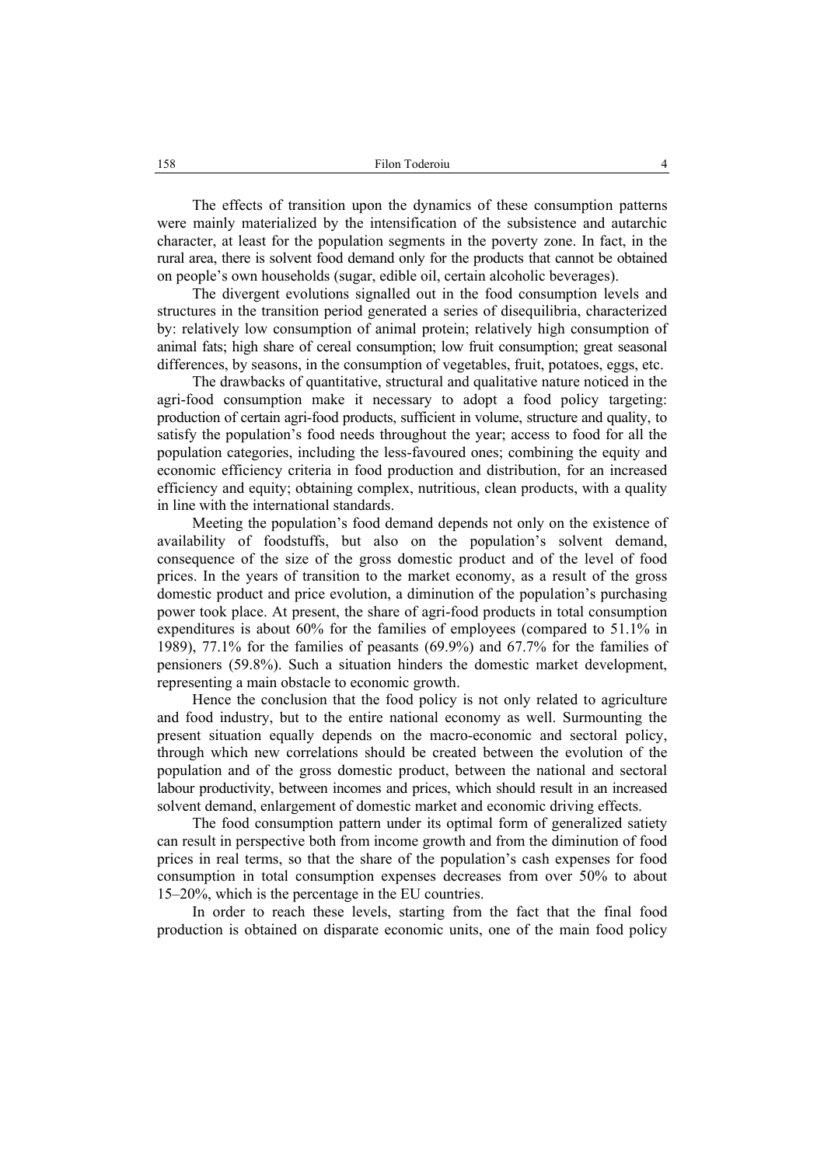The effects of transition upon the dynamics of these consumption patterns were mainly materialized by the intensification of the subsistence and autarchic character, at least for the population segments in the poverty zone. In fact, in the rural area, there is solvent food demand only for the products that cannot be obtained on people's own households (sugar, edible oil, certain alcoholic beverages).

The divergent evolutions signalled out in the food consumption levels and structures in the transition period generated a series of disequilibria, characterized by: relatively low consumption of animal protein; relatively high consumption of animal fats; high share of cereal consumption; low fruit consumption; great seasonal differences, by seasons, in the consumption of vegetables, fruit, potatoes, eggs, etc.

The drawbacks of quantitative, structural and qualitative nature noticed in the agri-food consumption make it necessary to adopt a food policy targeting: production of certain agri-food products, sufficient in volume, structure and quality, to satisfy the population's food needs throughout the year; access to food for all the population categories, including the less-favoured ones; combining the equity and economic efficiency criteria in food production and distribution, for an increased efficiency and equity; obtaining complex, nutritious, clean products, with a quality in line with the international standards.

Meeting the population's food demand depends not only on the existence of availability of foodstuffs, but also on the population's solvent demand, consequence of the size of the gross domestic product and of the level of food prices. In the years of transition to the market economy, as a result of the gross domestic product and price evolution, a diminution of the population's purchasing power took place. At present, the share of agri-food products in total consumption expenditures is about 60% for the families of employees (compared to 51.1% in 1989), 77.1% for the families of peasants (69.9%) and 67.7% for the families of pensioners (59.8%). Such a situation hinders the domestic market development, representing a main obstacle to economic growth.

Hence the conclusion that the food policy is not only related to agriculture and food industry, but to the entire national economy as well. Surmounting the present situation equally depends on the macro-economic and sectoral policy, through which new correlations should be created between the evolution of the population and of the gross domestic product, between the national and sectoral labour productivity, between incomes and prices, which should result in an increased solvent demand, enlargement of domestic market and economic driving effects.

The food consumption pattern under its optimal form of generalized satiety can result in perspective both from income growth and from the diminution of food prices in real terms, so that the share of the population's cash expenses for food consumption in total consumption expenses decreases from over 50% to about 15–20%, which is the percentage in the EU countries.

In order to reach these levels, starting from the fact that the final food production is obtained on disparate economic units, one of the main food policy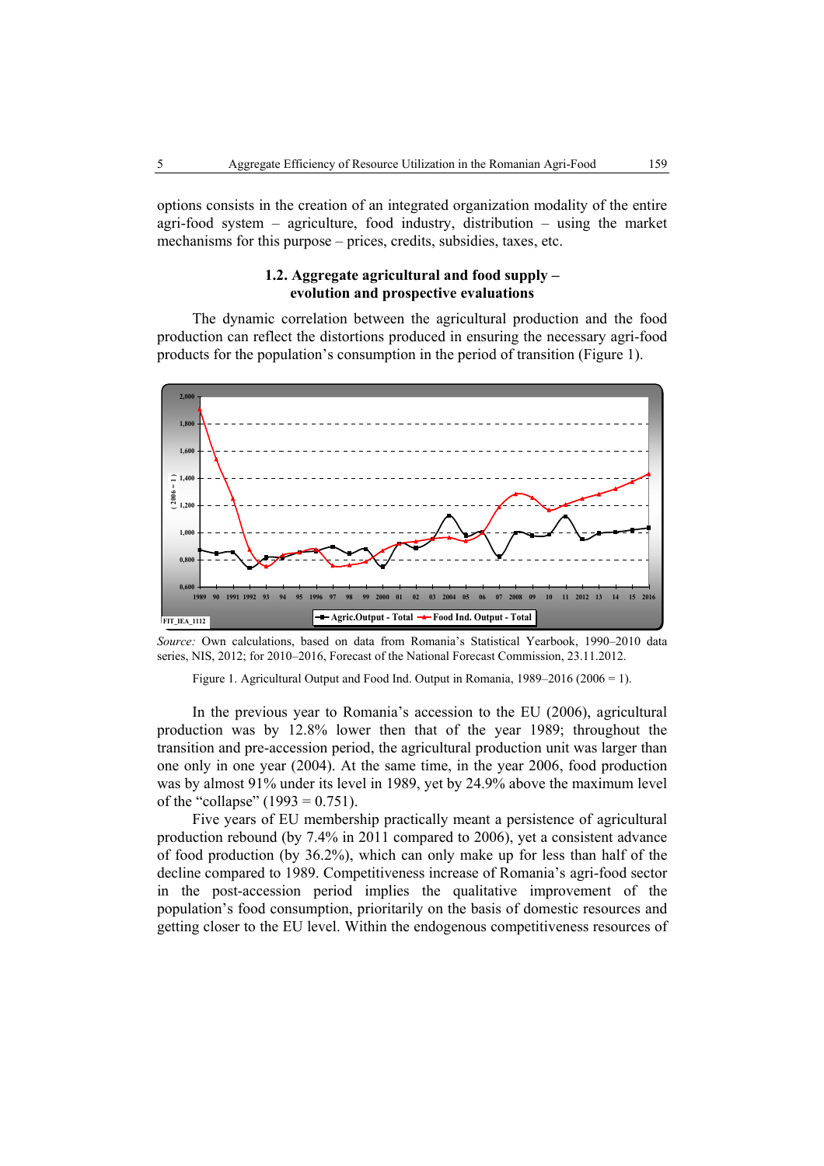options consists in the creation of an integrated organization modality of the entire agri-food system – agriculture, food industry, distribution – using the market mechanisms for this purpose – prices, credits, subsidies, taxes, etc.

## **1.2. Aggregate agricultural and food supply – evolution and prospective evaluations**

The dynamic correlation between the agricultural production and the food production can reflect the distortions produced in ensuring the necessary agri-food products for the population's consumption in the period of transition (Figure 1).



*Source:* Own calculations, based on data from Romania's Statistical Yearbook, 1990–2010 data series, NIS, 2012; for 2010–2016, Forecast of the National Forecast Commission, 23.11.2012.

Figure 1. Agricultural Output and Food Ind. Output in Romania, 1989–2016 (2006 = 1).

In the previous year to Romania's accession to the EU (2006), agricultural production was by 12.8% lower then that of the year 1989; throughout the transition and pre-accession period, the agricultural production unit was larger than one only in one year (2004). At the same time, in the year 2006, food production was by almost 91% under its level in 1989, yet by 24.9% above the maximum level of the "collapse"  $(1993 = 0.751)$ .

Five years of EU membership practically meant a persistence of agricultural production rebound (by 7.4% in 2011 compared to 2006), yet a consistent advance of food production (by 36.2%), which can only make up for less than half of the decline compared to 1989. Competitiveness increase of Romania's agri-food sector in the post-accession period implies the qualitative improvement of the population's food consumption, prioritarily on the basis of domestic resources and getting closer to the EU level. Within the endogenous competitiveness resources of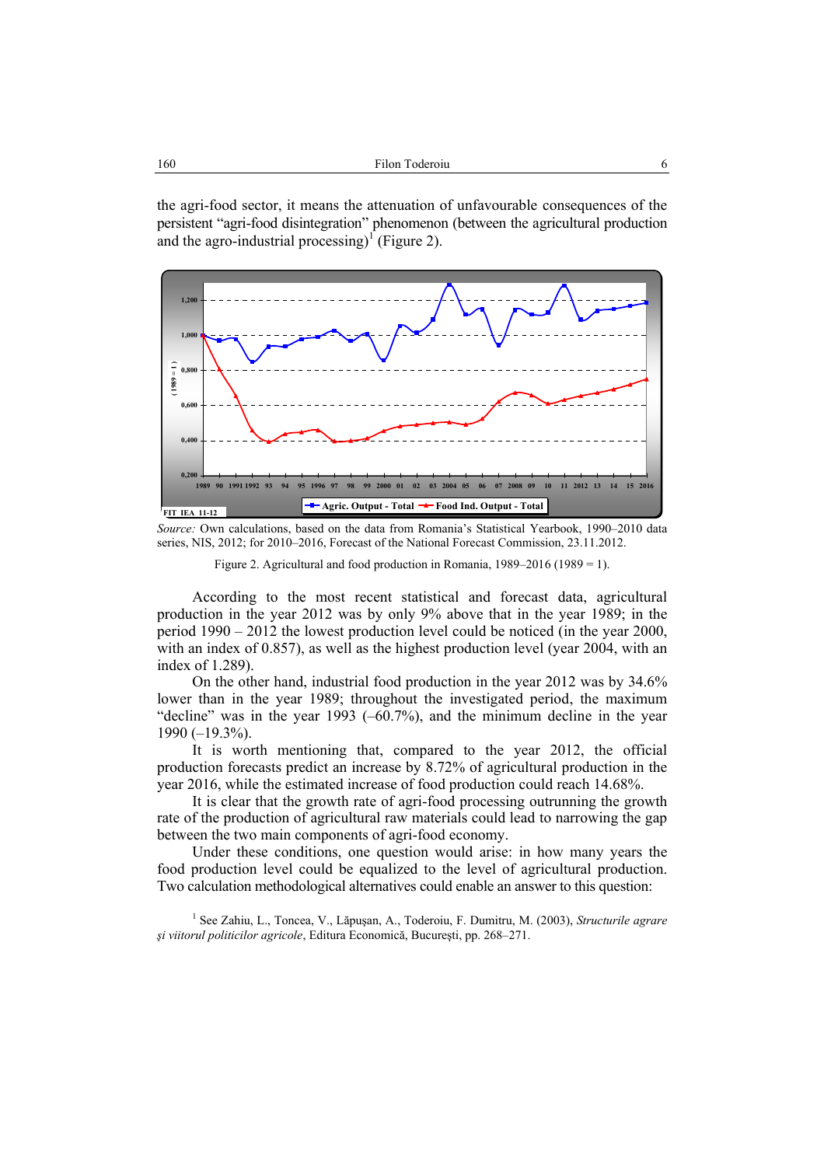the agri-food sector, it means the attenuation of unfavourable consequences of the persistent "agri-food disintegration" phenomenon (between the agricultural production and the agro-industrial processing)<sup>1</sup> (Figure 2).



*Source:* Own calculations, based on the data from Romania's Statistical Yearbook, 1990–2010 data series, NIS, 2012; for 2010–2016, Forecast of the National Forecast Commission, 23.11.2012.

According to the most recent statistical and forecast data, agricultural production in the year 2012 was by only 9% above that in the year 1989; in the period 1990 – 2012 the lowest production level could be noticed (in the year 2000, with an index of 0.857), as well as the highest production level (year 2004, with an index of 1.289).

On the other hand, industrial food production in the year 2012 was by 34.6% lower than in the year 1989; throughout the investigated period, the maximum "decline" was in the year 1993 (–60.7%), and the minimum decline in the year 1990 (–19.3%).

It is worth mentioning that, compared to the year 2012, the official production forecasts predict an increase by 8.72% of agricultural production in the year 2016, while the estimated increase of food production could reach 14.68%.

It is clear that the growth rate of agri-food processing outrunning the growth rate of the production of agricultural raw materials could lead to narrowing the gap between the two main components of agri-food economy.

Under these conditions, one question would arise: in how many years the food production level could be equalized to the level of agricultural production. Two calculation methodological alternatives could enable an answer to this question:

1 See Zahiu, L., Toncea, V., Lăpuşan, A., Toderoiu, F. Dumitru, M. (2003), *Structurile agrare şi viitorul politicilor agricole*, Editura Economică, Bucureşti, pp. 268–271.

Figure 2. Agricultural and food production in Romania, 1989–2016 (1989 = 1).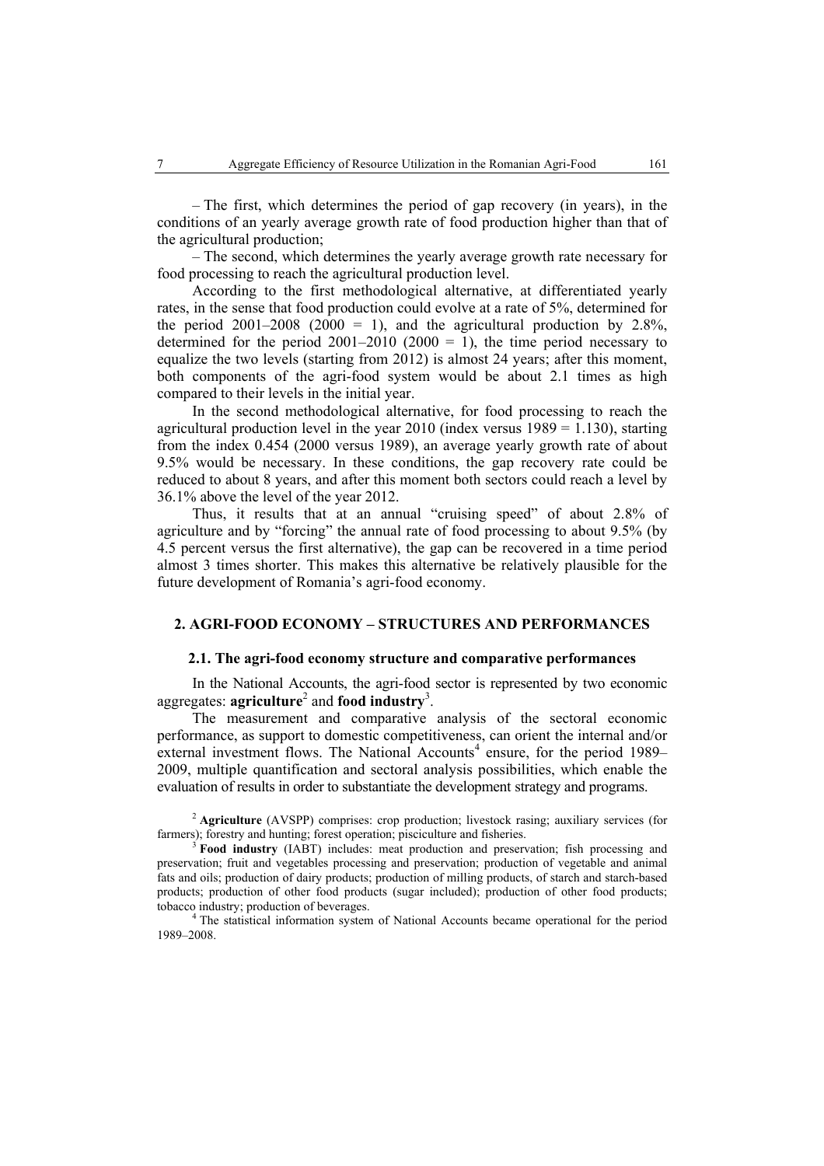– The first, which determines the period of gap recovery (in years), in the conditions of an yearly average growth rate of food production higher than that of the agricultural production;

– The second, which determines the yearly average growth rate necessary for food processing to reach the agricultural production level.

According to the first methodological alternative, at differentiated yearly rates, in the sense that food production could evolve at a rate of 5%, determined for the period  $2001-2008$  ( $2000 = 1$ ), and the agricultural production by 2.8%, determined for the period 2001–2010 (2000 = 1), the time period necessary to equalize the two levels (starting from 2012) is almost 24 years; after this moment, both components of the agri-food system would be about 2.1 times as high compared to their levels in the initial year.

In the second methodological alternative, for food processing to reach the agricultural production level in the year  $2010$  (index versus  $1989 = 1.130$ ), starting from the index 0.454 (2000 versus 1989), an average yearly growth rate of about 9.5% would be necessary. In these conditions, the gap recovery rate could be reduced to about 8 years, and after this moment both sectors could reach a level by 36.1% above the level of the year 2012.

Thus, it results that at an annual "cruising speed" of about 2.8% of agriculture and by "forcing" the annual rate of food processing to about 9.5% (by 4.5 percent versus the first alternative), the gap can be recovered in a time period almost 3 times shorter. This makes this alternative be relatively plausible for the future development of Romania's agri-food economy.

### **2. AGRI-FOOD ECONOMY – STRUCTURES AND PERFORMANCES**

### **2.1. The agri-food economy structure and comparative performances**

In the National Accounts, the agri-food sector is represented by two economic aggregates: **agriculture**<sup>2</sup> and **food industry**<sup>3</sup>.

The measurement and comparative analysis of the sectoral economic performance, as support to domestic competitiveness, can orient the internal and/or external investment flows. The National Accounts<sup>4</sup> ensure, for the period 1989– 2009, multiple quantification and sectoral analysis possibilities, which enable the evaluation of results in order to substantiate the development strategy and programs.

<sup>2</sup> **Agriculture** (AVSPP) comprises: crop production; livestock rasing; auxiliary services (for farmers); forestry and hunting; forest operation; pisciculture and fisheries.

 **Food industry** (IABT) includes: meat production and preservation; fish processing and preservation; fruit and vegetables processing and preservation; production of vegetable and animal fats and oils; production of dairy products; production of milling products, of starch and starch-based products; production of other food products (sugar included); production of other food products; tobacco industry; production of beverages. 4

<sup>4</sup> The statistical information system of National Accounts became operational for the period 1989–2008.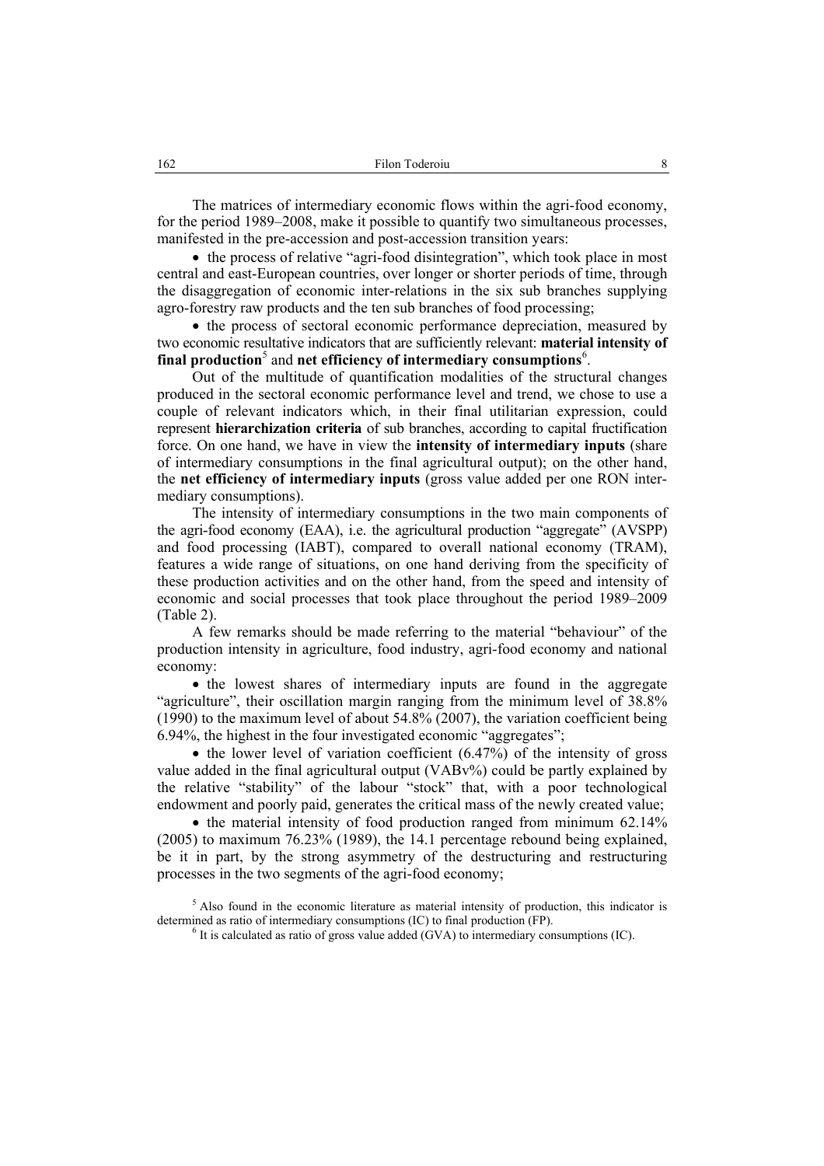The matrices of intermediary economic flows within the agri-food economy, for the period 1989–2008, make it possible to quantify two simultaneous processes, manifested in the pre-accession and post-accession transition years:

• the process of relative "agri-food disintegration", which took place in most central and east-European countries, over longer or shorter periods of time, through the disaggregation of economic inter-relations in the six sub branches supplying agro-forestry raw products and the ten sub branches of food processing;

• the process of sectoral economic performance depreciation, measured by two economic resultative indicators that are sufficiently relevant: **material intensity of**  final production<sup>5</sup> and net efficiency of intermediary consumptions<sup>6</sup>.

Out of the multitude of quantification modalities of the structural changes produced in the sectoral economic performance level and trend, we chose to use a couple of relevant indicators which, in their final utilitarian expression, could represent **hierarchization criteria** of sub branches, according to capital fructification force. On one hand, we have in view the **intensity of intermediary inputs** (share of intermediary consumptions in the final agricultural output); on the other hand, the **net efficiency of intermediary inputs** (gross value added per one RON intermediary consumptions).

The intensity of intermediary consumptions in the two main components of the agri-food economy (EAA), i.e. the agricultural production "aggregate" (AVSPP) and food processing (IABT), compared to overall national economy (TRAM), features a wide range of situations, on one hand deriving from the specificity of these production activities and on the other hand, from the speed and intensity of economic and social processes that took place throughout the period 1989–2009 (Table 2).

A few remarks should be made referring to the material "behaviour" of the production intensity in agriculture, food industry, agri-food economy and national economy:

• the lowest shares of intermediary inputs are found in the aggregate "agriculture", their oscillation margin ranging from the minimum level of 38.8% (1990) to the maximum level of about 54.8% (2007), the variation coefficient being 6.94%, the highest in the four investigated economic "aggregates";

• the lower level of variation coefficient  $(6.47%)$  of the intensity of gross value added in the final agricultural output (VABv%) could be partly explained by the relative "stability" of the labour "stock" that, with a poor technological endowment and poorly paid, generates the critical mass of the newly created value;

• the material intensity of food production ranged from minimum 62.14% (2005) to maximum 76.23% (1989), the 14.1 percentage rebound being explained, be it in part, by the strong asymmetry of the destructuring and restructuring processes in the two segments of the agri-food economy;

 $<sup>5</sup>$  Also found in the economic literature as material intensity of production, this indicator is</sup> determined as ratio of intermediary consumptions (IC) to final production (FP).

 $6$  It is calculated as ratio of gross value added (GVA) to intermediary consumptions (IC).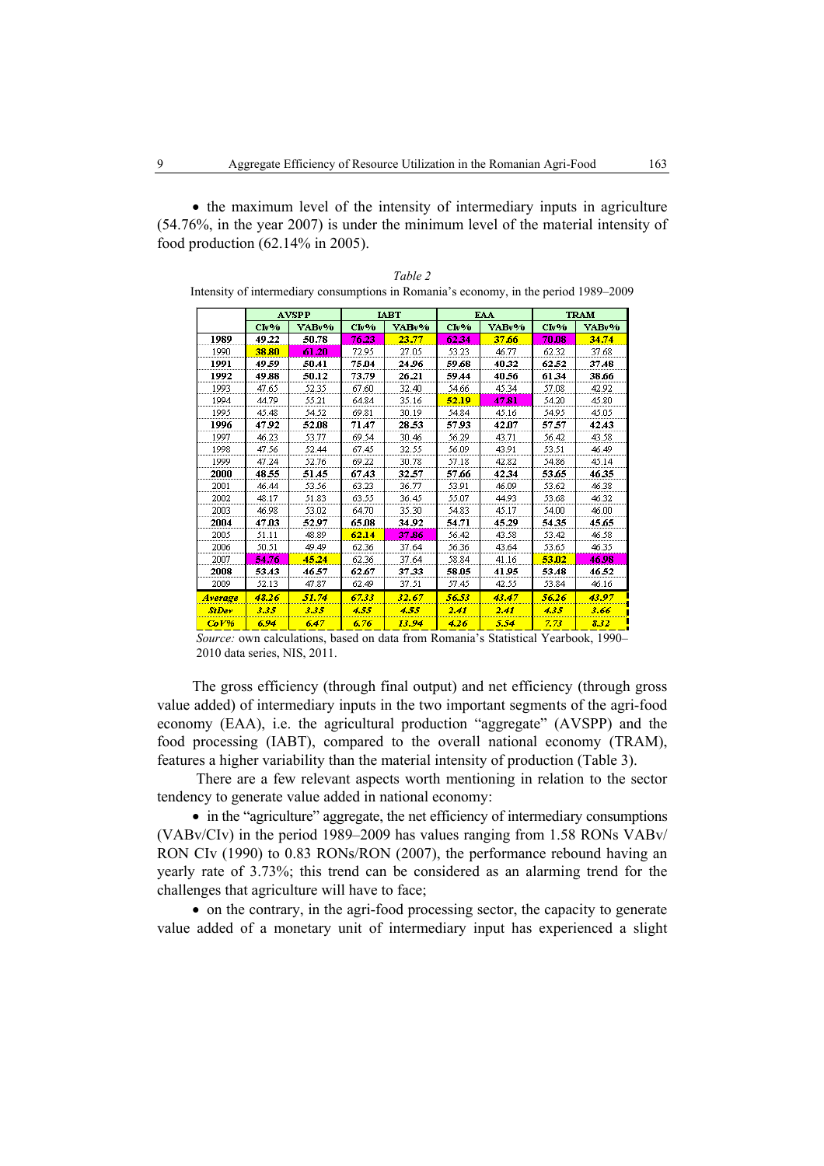• the maximum level of the intensity of intermediary inputs in agriculture (54.76%, in the year 2007) is under the minimum level of the material intensity of food production (62.14% in 2005).

|              |       | <b>AVSPP</b> |       | <b>IABT</b> |                | <b>EAA</b> |       | <b>TRAM</b> |
|--------------|-------|--------------|-------|-------------|----------------|------------|-------|-------------|
|              | Clv%  | VABv%        | Clv%  | VABv%       | Clv%           | VABv%      | Clv%  | VABv%       |
| 1989         | 49.22 | 50.78        | 76.23 | 23.77       | 62.34          | 37.66      | 70.08 | 34.74       |
| 1990         | 38.80 | 61.20        | 72.95 | 27.05       | 53.23          | 46.77      | 62.32 | 37.68       |
| 1991         | 49.59 | 50.41        | 75.04 | 24.96       | 59.68          | 40.32      | 62.52 | 37.48       |
| 1992         | 49.88 | 50.12        | 73.79 | 26.21       | 59.44          | 40.56      | 61.34 | 38.66       |
| 1993         | 47.65 | 52.35        | 67.60 | 32.40       | 54.66          | 45.34      | 57.08 | 42.92       |
| 1994         | 44.79 | 55.21        | 64.84 | 35.16       | 52.19          | 47.81      | 54.20 | 45.80       |
| 1995         | 45.48 | 54.52        | 69.81 | 30.19       | 54.84          | 45.16      | 54.95 | 45.05       |
| 1996         | 47.92 | 52.08        | 71.47 | 28.53       | 57.93          | 42.07      | 57.57 | 42.43       |
| 1997         | 46.23 | 53.77        | 69.54 | 30.46       | 56.29          | 43.71      | 56.42 | 43.58       |
| 1998         | 47.56 | 52.44        | 67.45 | 32.55       | 56.09          | 43.91      | 53.51 | 46.49       |
| 1999         | 47.24 | 52.76        | 69.22 | 30.78       | 57.18<br>42.82 |            | 54.86 | 45.14       |
| 2000         | 48.55 | 51.45        | 67.43 | 32.57       | 42.34<br>57.66 |            | 53.65 | 46.35       |
| 2001         | 46.44 | 53.56        | 63.23 | 36.77       | 53.91          | 46.09      | 53.62 | 46.38       |
| 2002         | 48.17 | 51.83        | 63.55 | 36.45       | 55.07          | 44.93      | 53.68 | 46.32       |
| 2003         | 46.98 | 53.02        | 64.70 | 35.30       | 54.83          | 45.17      | 54.00 | 46.00       |
| 2004         | 47.03 | 52.97        | 65.08 | 34.92       | 54.71          | 45.29      | 54.35 | 45.65       |
| 2005         | 51.11 | 48.89        | 62.14 | 37.86       | 56.42          | 43.58      | 53.42 | 46.58       |
| 2006         | 50.51 | 49.49        | 62.36 | 37.64       | 56.36          | 43.64      | 53.65 | 46.35       |
| 2007         | 54.76 | 45.24        | 62.36 | 37.64       | 58.84          | 41.16      | 53.02 | 46.98       |
| 2008         | 53.43 | 46.57        | 62.67 | 37.33       | 58.05          | 41.95      | 53.48 | 46.52       |
| 2009         | 52.13 | 47.87        | 62.49 | 37.51       | 57.45          | 42.55      | 53.84 | 46.16       |
| Average      | 48.26 | 51.74        | 67.33 | 32.67       | 56.53          | 43.47      | 56.26 | 43.97       |
| <b>StDev</b> | 3.35  | 3.35         | 4.55  | 4.55        | 2.41           | 2.41       | 435   | 3.66        |
| CoV%         | 6.94  | 6.47         | 6.76  | 13.94       | 426            | 5.54       | 7.73  | 8.32        |

| Table 2                                                                              |
|--------------------------------------------------------------------------------------|
| Intensity of intermediary consumptions in Romania's economy, in the period 1989–2009 |

*Source:* own calculations, based on data from Romania's Statistical Yearbook, 1990– 2010 data series, NIS, 2011.

The gross efficiency (through final output) and net efficiency (through gross value added) of intermediary inputs in the two important segments of the agri-food economy (EAA), i.e. the agricultural production "aggregate" (AVSPP) and the food processing (IABT), compared to the overall national economy (TRAM), features a higher variability than the material intensity of production (Table 3).

 There are a few relevant aspects worth mentioning in relation to the sector tendency to generate value added in national economy:

• in the "agriculture" aggregate, the net efficiency of intermediary consumptions (VABv/CIv) in the period 1989–2009 has values ranging from 1.58 RONs VABv/ RON CIv (1990) to 0.83 RONs/RON (2007), the performance rebound having an yearly rate of 3.73%; this trend can be considered as an alarming trend for the challenges that agriculture will have to face;

• on the contrary, in the agri-food processing sector, the capacity to generate value added of a monetary unit of intermediary input has experienced a slight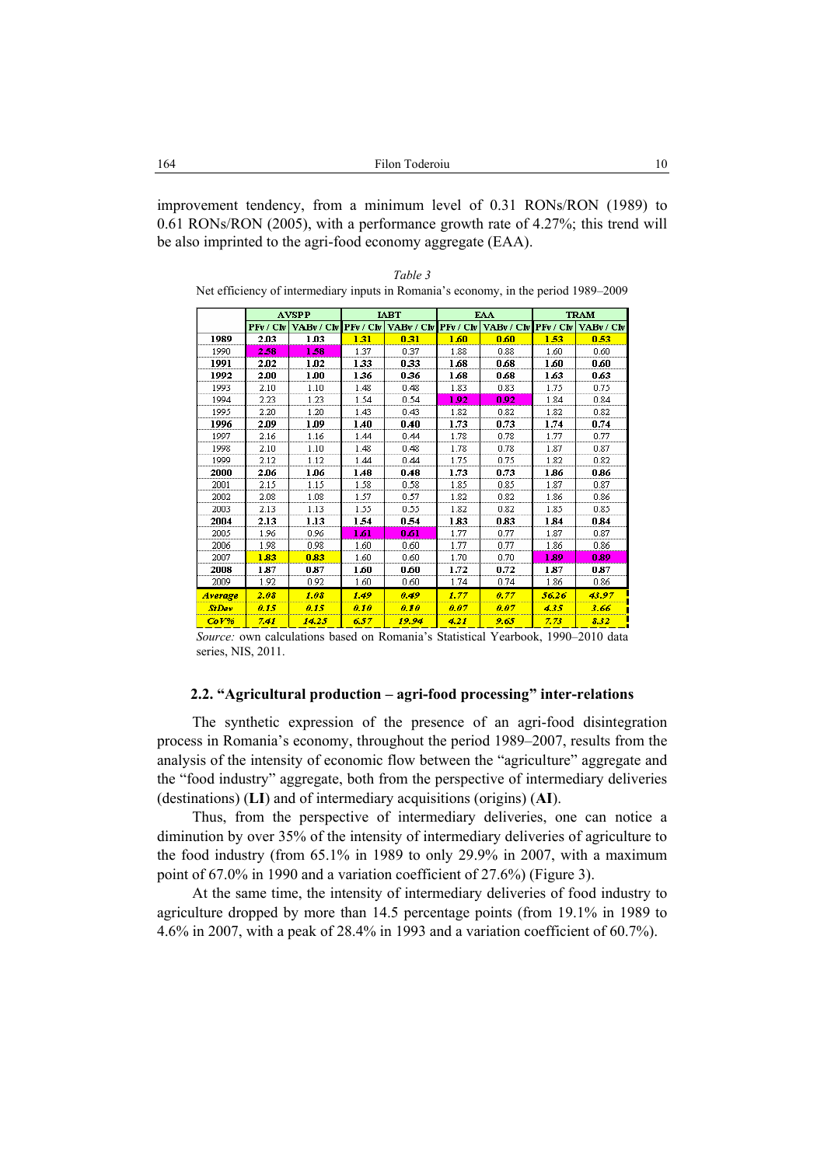improvement tendency, from a minimum level of 0.31 RONs/RON (1989) to 0.61 RONs/RON (2005), with a performance growth rate of 4.27%; this trend will be also imprinted to the agri-food economy aggregate (EAA).

*Table 3* 

|      |           | <b>AVSPP</b> |      | <b>JART</b>                                                                           |              | EAA  |      | <b>TRAM</b> |
|------|-----------|--------------|------|---------------------------------------------------------------------------------------|--------------|------|------|-------------|
|      | PFv / Cfv |              |      | VABy / CIv   PFv / CIv   VABy / CIv   PFv / CIv   VABy / CIv   PFv / CIv   VABy / CIv |              |      |      |             |
| 1989 | 2.03      | 1 N 3        | 131  | 0.31                                                                                  | 1.60         | 0.60 | 1.53 | 0.53        |
| 1990 | 2.58      | 1.58         | 1.37 | በ 37                                                                                  | 1.88         | n 88 | 1 6N | 0.60        |
| 1991 | 2.02      | 1.02         | 1.33 | 0.33                                                                                  | 1.68<br>0.68 |      | 1.60 | 0.60        |
| 1992 | 2.00      | 1 טט         | 1.36 | 0.36                                                                                  | 1.68         | 0.68 | 1.63 | 0.63        |
| 1993 | 2.10      | 1.10         | 148  | n 48                                                                                  | 1.83         | n 83 | 1.75 | n 75        |
| 1994 | 2.23      | 1.23         | 1.54 | 0.54                                                                                  | 1.92         | 0.92 | 1.84 | 0.84        |
| 1995 | 2.20      | 1.20         | 1.43 | 0.43                                                                                  | 1.82         | 0.82 | 1.82 | 0.82        |
| 996  | 2.09      | .no          | .4N  | 0.40                                                                                  | -73          | 0.73 | 1.74 | 0.74        |

| 1991         | 2.02  | 1 02. | 1 33 | 0.33   | 1 68        | 0.68        | 1.60  | 0.60  |
|--------------|-------|-------|------|--------|-------------|-------------|-------|-------|
| 1992         | 2.00  | 1.00  | 1.36 | 0.36   | 1.68        | 0.68        | 1.63  | 0.63  |
| 1993         | 2.10  | 1.10  | 1.48 | 0.48   | 1.83        | 0.83        | 1.75  | 0.75  |
| 1994         | 2.23  | 1.23  | 1.54 | 0.54   | 1.92        | 0.92        | 1.84  | 0.84  |
| 1995         | 2.20  | 1.20  | 1.43 | 0.43   | 1.82        | 0.82        | 1.82  | 0.82  |
| 1996         | 2.09  | 1.09  | 1.40 | 0.40   | 1.73        | 0.73        | 1.74  | 0.74  |
| 1997         | 2.16  | 1.16  | 1.44 | 0.44   | 1.78        | 0.78        | 1.77  | 0.77  |
| 1998         | 2.10  | 1.10  | 1.48 | 0.48   | 1.78        | 0.78        | 1.87  | 0.87  |
| 1999         | 2.12  | 1.12  | 1.44 | 0.44   | 1.75        | 0.75        | 1.82  | 0.82  |
| 2000         | 2.06  | 1.06  | 1.48 | 0.48   | 1.73        | 0.73        | 1.86  | 0.86  |
| 2001         | 2.15  | 1.15  | 1.58 | 0.58   | 1.85        | 0.85        | 1.87  | 0.87  |
| 2002         | 2.08  | 1.08  | 1.57 | 0.57   | 1.82        | 0.82        | 1.86  | 0.86  |
| 2003         | 2.13  | 1.13  | 1.55 | 0.55   | 1.82        | 0.82        | 1.85  | 0.85  |
| 2004         | 2.13  | 1.13  | 1.54 | 0.54   | 1.83        | 0.83        | 1.84  | 0.84  |
| 2005         | 1.96  | 0.96  | l 61 | 0.61   | 1.77        | 0.77        | 1.87  | 0.87  |
| 2006         | 1.98  | 0.98  | 1.60 | 0.60   | 1.77        | 0.77        | 1.86  | 0.86  |
| 2007         | 1.83  | 0.83  | 1.60 | 0.60   | 1.70        | 0.70        | 1.89  | 0.89  |
| 2008         | 1.87  | 0.87  | 1.60 | 0.60   | 1.72        | 0.72        | 1.87  | 0.87  |
| 2009         | 1.92  | 0.92  | 1.60 | 0.60   | 1.74        | 0.74        | 1.86  | 0.86  |
| Average      | 2.08  | 1.08  | 1.49 | 0.49   | 1.77        | 0.77        | 56.26 | 43.97 |
| <b>StDay</b> | A.I.S | 0.15  | 0.10 | 0. I O | <b>A.A7</b> | <b>A.A7</b> | 435   | 3.66  |
| C'AV%        | 7 A T | 14.25 | メモク  | 10 OA  | 42 I        | o ks        | 772   | 222   |

*Source:* own calculations based on Romania's Statistical Yearbook, 1990–2010 data series, NIS, 2011.

### **2.2. "Agricultural production – agri-food processing" inter-relations**

The synthetic expression of the presence of an agri-food disintegration process in Romania's economy, throughout the period 1989–2007, results from the analysis of the intensity of economic flow between the "agriculture" aggregate and the "food industry" aggregate, both from the perspective of intermediary deliveries (destinations) (**LI**) and of intermediary acquisitions (origins) (**AI**).

Thus, from the perspective of intermediary deliveries, one can notice a diminution by over 35% of the intensity of intermediary deliveries of agriculture to the food industry (from 65.1% in 1989 to only 29.9% in 2007, with a maximum point of 67.0% in 1990 and a variation coefficient of 27.6%) (Figure 3).

At the same time, the intensity of intermediary deliveries of food industry to agriculture dropped by more than 14.5 percentage points (from 19.1% in 1989 to 4.6% in 2007, with a peak of 28.4% in 1993 and a variation coefficient of 60.7%).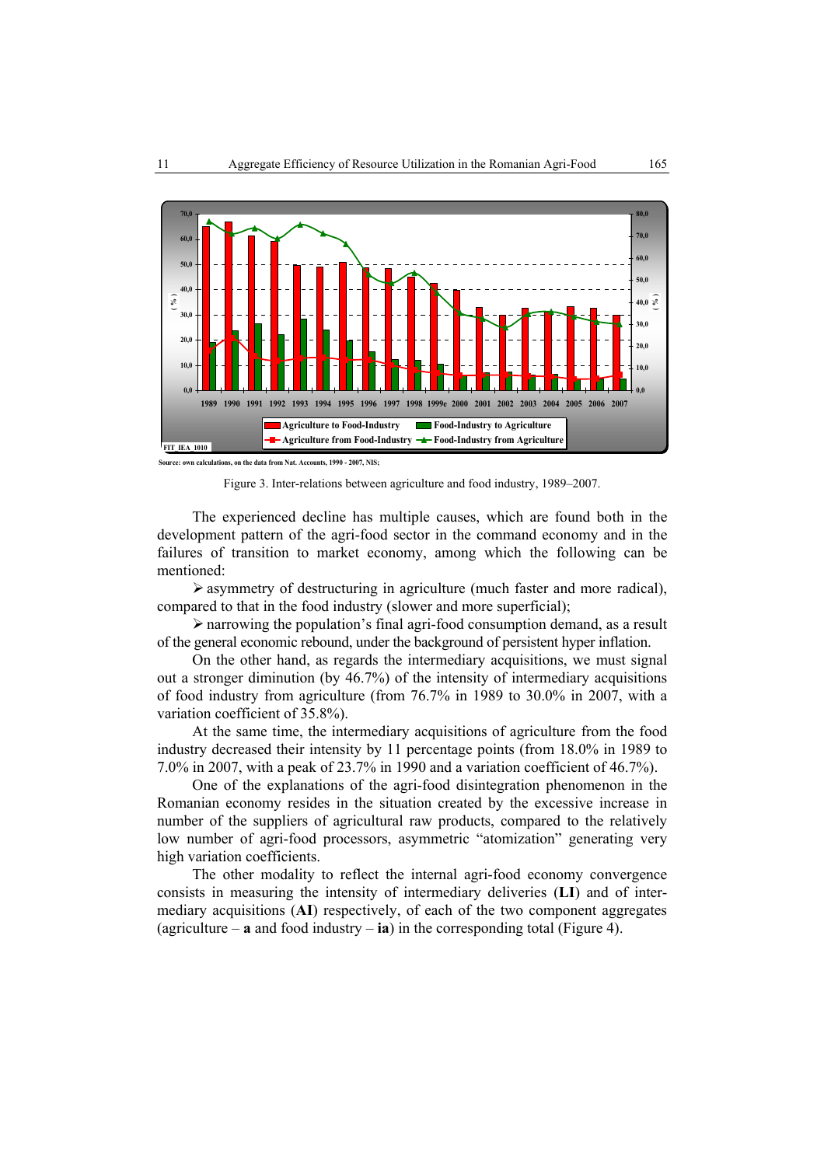

**Source: own calculations, on the data from Nat. Accounts, 1990 - 2007, NIS;**



The experienced decline has multiple causes, which are found both in the development pattern of the agri-food sector in the command economy and in the failures of transition to market economy, among which the following can be mentioned:

 $\triangleright$  asymmetry of destructuring in agriculture (much faster and more radical), compared to that in the food industry (slower and more superficial);

¾ narrowing the population's final agri-food consumption demand, as a result of the general economic rebound, under the background of persistent hyper inflation.

On the other hand, as regards the intermediary acquisitions, we must signal out a stronger diminution (by 46.7%) of the intensity of intermediary acquisitions of food industry from agriculture (from 76.7% in 1989 to 30.0% in 2007, with a variation coefficient of 35.8%).

At the same time, the intermediary acquisitions of agriculture from the food industry decreased their intensity by 11 percentage points (from 18.0% in 1989 to 7.0% in 2007, with a peak of 23.7% in 1990 and a variation coefficient of 46.7%).

One of the explanations of the agri-food disintegration phenomenon in the Romanian economy resides in the situation created by the excessive increase in number of the suppliers of agricultural raw products, compared to the relatively low number of agri-food processors, asymmetric "atomization" generating very high variation coefficients.

The other modality to reflect the internal agri-food economy convergence consists in measuring the intensity of intermediary deliveries (**LI**) and of intermediary acquisitions (**AI**) respectively, of each of the two component aggregates (agriculture –  $\bf{a}$  and food industry –  $\bf{i}$ a) in the corresponding total (Figure 4).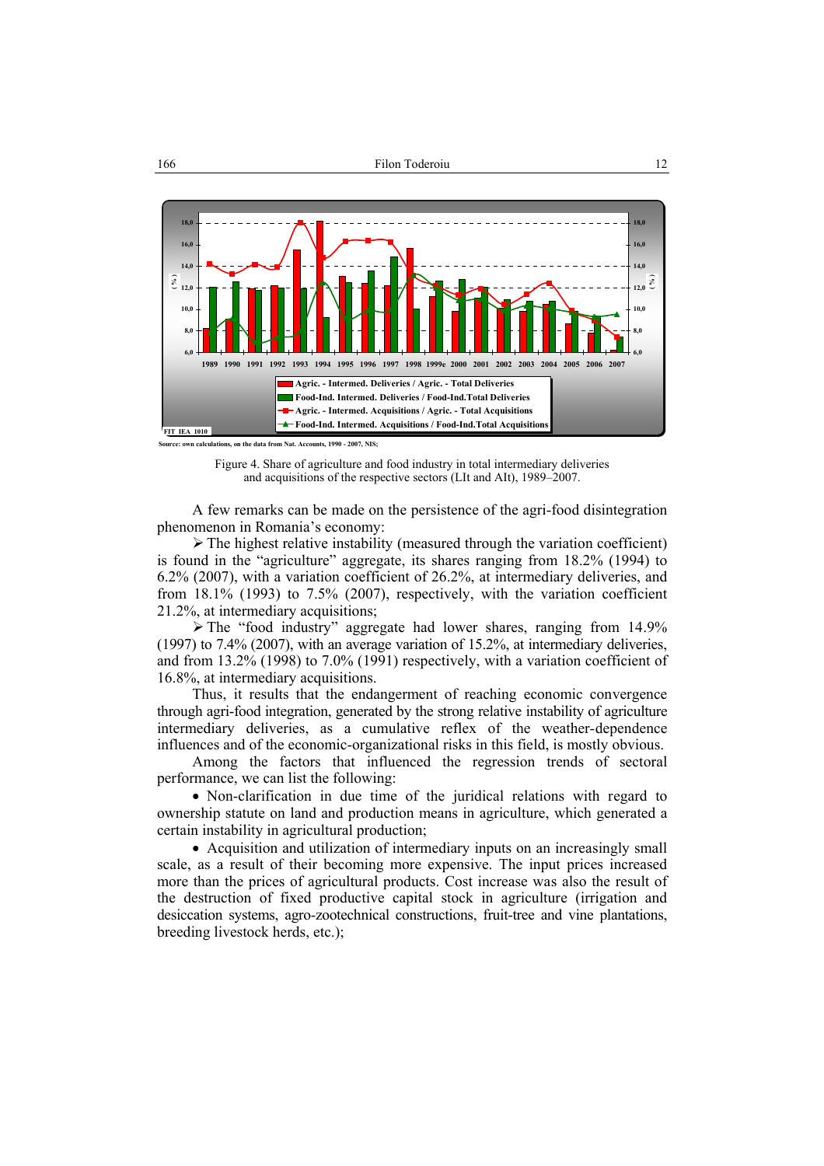

**Source: own calculations, on the data from Nat. Accounts, 1990 - 2007, NIS;**

Figure 4. Share of agriculture and food industry in total intermediary deliveries and acquisitions of the respective sectors (LIt and AIt), 1989–2007.

A few remarks can be made on the persistence of the agri-food disintegration phenomenon in Romania's economy:

 $\triangleright$  The highest relative instability (measured through the variation coefficient) is found in the "agriculture" aggregate, its shares ranging from 18.2% (1994) to 6.2% (2007), with a variation coefficient of 26.2%, at intermediary deliveries, and from 18.1% (1993) to 7.5% (2007), respectively, with the variation coefficient 21.2%, at intermediary acquisitions;

¾ The "food industry" aggregate had lower shares, ranging from 14.9% (1997) to 7.4% (2007), with an average variation of 15.2%, at intermediary deliveries, and from 13.2% (1998) to 7.0% (1991) respectively, with a variation coefficient of 16.8%, at intermediary acquisitions.

Thus, it results that the endangerment of reaching economic convergence through agri-food integration, generated by the strong relative instability of agriculture intermediary deliveries, as a cumulative reflex of the weather-dependence influences and of the economic-organizational risks in this field, is mostly obvious.

Among the factors that influenced the regression trends of sectoral performance, we can list the following:

• Non-clarification in due time of the juridical relations with regard to ownership statute on land and production means in agriculture, which generated a certain instability in agricultural production;

• Acquisition and utilization of intermediary inputs on an increasingly small scale, as a result of their becoming more expensive. The input prices increased more than the prices of agricultural products. Cost increase was also the result of the destruction of fixed productive capital stock in agriculture (irrigation and desiccation systems, agro-zootechnical constructions, fruit-tree and vine plantations, breeding livestock herds, etc.);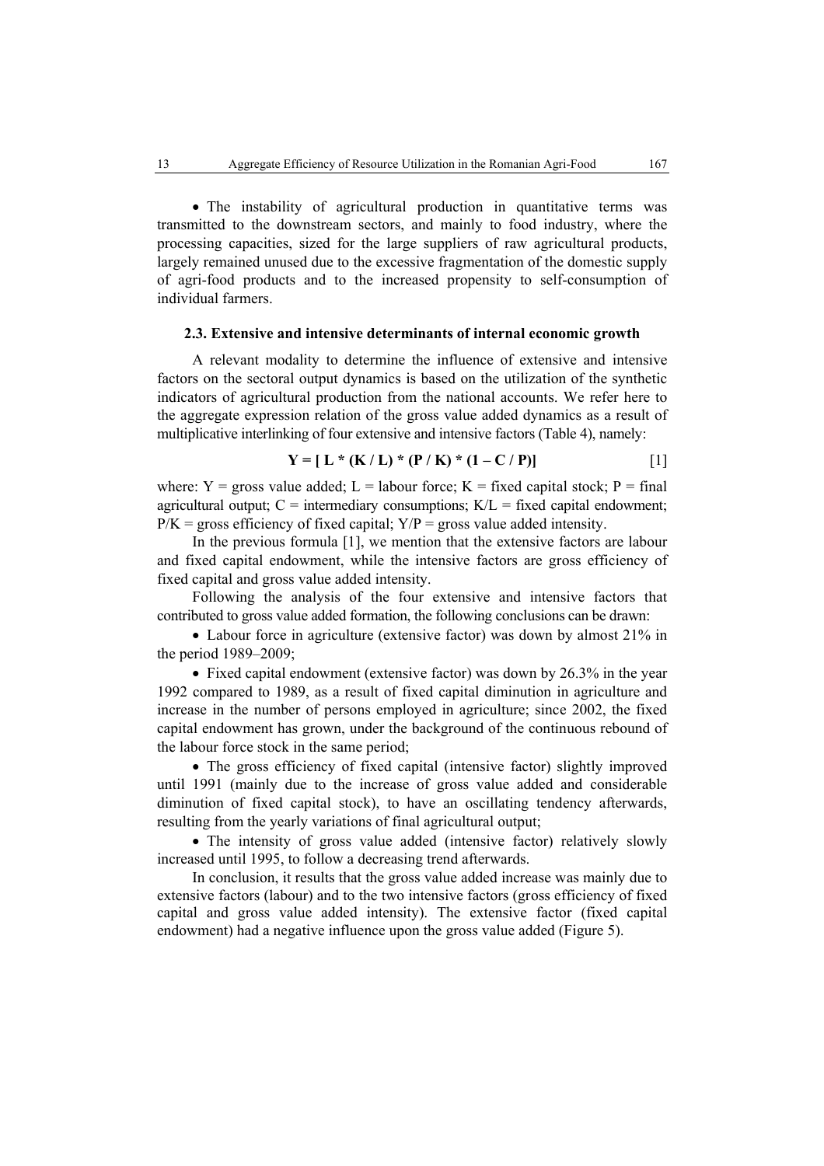• The instability of agricultural production in quantitative terms was transmitted to the downstream sectors, and mainly to food industry, where the processing capacities, sized for the large suppliers of raw agricultural products, largely remained unused due to the excessive fragmentation of the domestic supply of agri-food products and to the increased propensity to self-consumption of individual farmers.

### **2.3. Extensive and intensive determinants of internal economic growth**

A relevant modality to determine the influence of extensive and intensive factors on the sectoral output dynamics is based on the utilization of the synthetic indicators of agricultural production from the national accounts. We refer here to the aggregate expression relation of the gross value added dynamics as a result of multiplicative interlinking of four extensive and intensive factors (Table 4), namely:

$$
Y = [ L * (K / L) * (P / K) * (1 - C / P) ]
$$
 [1]

where:  $Y = \text{gross value added}$ ;  $L = \text{labour force}$ ;  $K = \text{fixed capital stock}$ ;  $P = \text{final}$ agricultural output;  $C =$  intermediary consumptions;  $K/L =$  fixed capital endowment;  $P/K$  = gross efficiency of fixed capital:  $Y/P$  = gross value added intensity.

In the previous formula [1], we mention that the extensive factors are labour and fixed capital endowment, while the intensive factors are gross efficiency of fixed capital and gross value added intensity.

Following the analysis of the four extensive and intensive factors that contributed to gross value added formation, the following conclusions can be drawn:

• Labour force in agriculture (extensive factor) was down by almost 21% in the period 1989–2009;

• Fixed capital endowment (extensive factor) was down by 26.3% in the year 1992 compared to 1989, as a result of fixed capital diminution in agriculture and increase in the number of persons employed in agriculture; since 2002, the fixed capital endowment has grown, under the background of the continuous rebound of the labour force stock in the same period;

• The gross efficiency of fixed capital (intensive factor) slightly improved until 1991 (mainly due to the increase of gross value added and considerable diminution of fixed capital stock), to have an oscillating tendency afterwards, resulting from the yearly variations of final agricultural output;

• The intensity of gross value added (intensive factor) relatively slowly increased until 1995, to follow a decreasing trend afterwards.

In conclusion, it results that the gross value added increase was mainly due to extensive factors (labour) and to the two intensive factors (gross efficiency of fixed capital and gross value added intensity). The extensive factor (fixed capital endowment) had a negative influence upon the gross value added (Figure 5).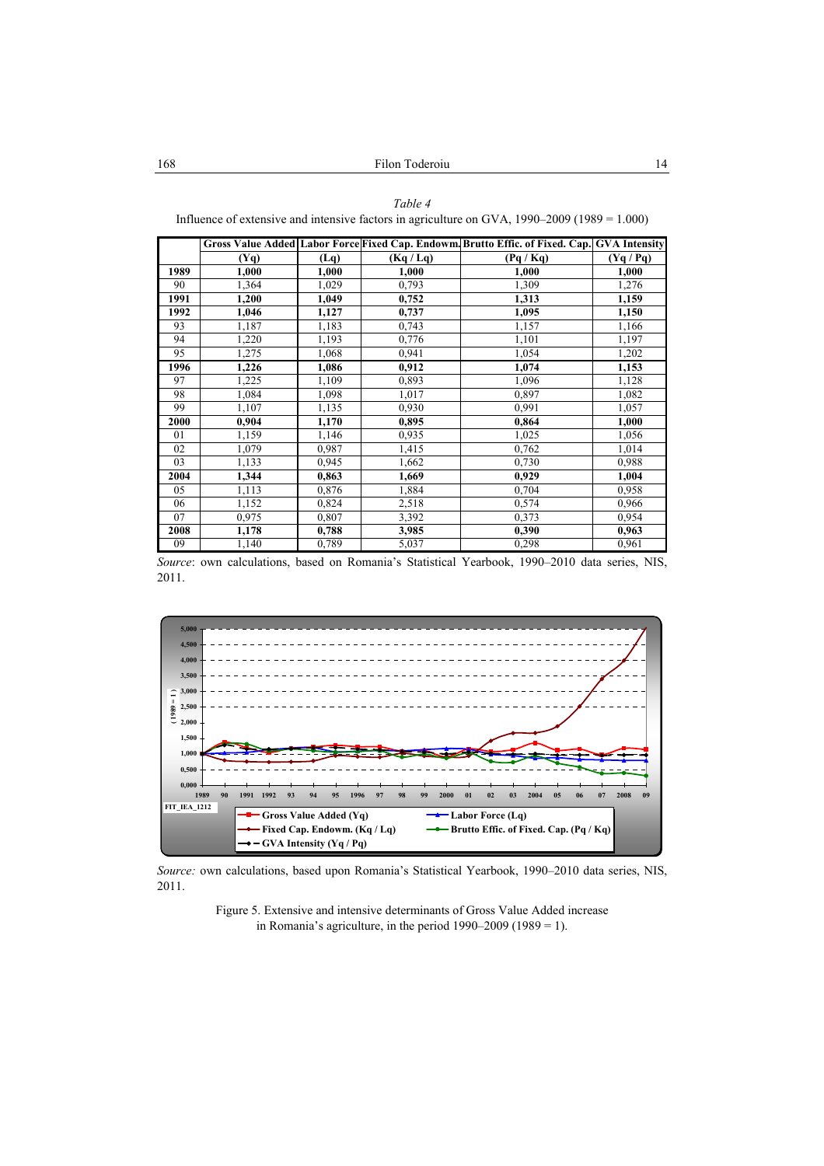#### *Table 4*

Influence of extensive and intensive factors in agriculture on GVA, 1990–2009 (1989 = 1.000)

|      |         |       |         | Gross Value Added Labor Force Fixed Cap. Endowm Brutto Effic. of Fixed. Cap. GVA Intensity |           |
|------|---------|-------|---------|--------------------------------------------------------------------------------------------|-----------|
|      | $(Y_9)$ | (Lq)  | (Kq/Lq) | (Pq / Kq)                                                                                  | (Yq / Pq) |
| 1989 | 1,000   | 1,000 | 1,000   | 1,000                                                                                      | 1,000     |
| 90   | 1,364   | 1,029 | 0,793   | 1,309                                                                                      | 1,276     |
| 1991 | 1,200   | 1,049 | 0,752   | 1,313                                                                                      | 1,159     |
| 1992 | 1,046   | 1,127 | 0,737   | 1,095                                                                                      | 1,150     |
| 93   | 1,187   | 1,183 | 0.743   | 1,157                                                                                      | 1,166     |
| 94   | 1,220   | 1,193 | 0,776   | 1,101                                                                                      | 1,197     |
| 95   | 1,275   | 1,068 | 0,941   | 1,054                                                                                      | 1,202     |
| 1996 | 1,226   | 1,086 | 0,912   | 1,074                                                                                      | 1,153     |
| 97   | 1,225   | 1,109 | 0,893   | 1,096                                                                                      | 1,128     |
| 98   | 1,084   | 1,098 | 1,017   | 0,897                                                                                      | 1,082     |
| 99   | 1,107   | 1,135 | 0.930   | 0,991                                                                                      | 1,057     |
| 2000 | 0,904   | 1,170 | 0,895   | 0,864                                                                                      | 1,000     |
| 01   | 1,159   | 1,146 | 0.935   | 1,025                                                                                      | 1,056     |
| 02   | 1,079   | 0,987 | 1,415   | 0,762                                                                                      | 1,014     |
| 03   | 1,133   | 0.945 | 1,662   | 0,730                                                                                      | 0,988     |
| 2004 | 1,344   | 0,863 | 1,669   | 0,929                                                                                      | 1,004     |
| 05   | 1,113   | 0,876 | 1,884   | 0,704                                                                                      | 0,958     |
| 06   | 1,152   | 0,824 | 2,518   | 0,574                                                                                      | 0,966     |
| 07   | 0.975   | 0,807 | 3,392   | 0,373                                                                                      | 0,954     |
| 2008 | 1,178   | 0,788 | 3,985   | 0,390                                                                                      | 0,963     |
| 09   | 1,140   | 0,789 | 5,037   | 0,298                                                                                      | 0,961     |

*Source*: own calculations, based on Romania's Statistical Yearbook, 1990–2010 data series, NIS, 2011.



*Source:* own calculations, based upon Romania's Statistical Yearbook, 1990–2010 data series, NIS, 2011.

Figure 5. Extensive and intensive determinants of Gross Value Added increase in Romania's agriculture, in the period  $1990-2009$  ( $1989 = 1$ ).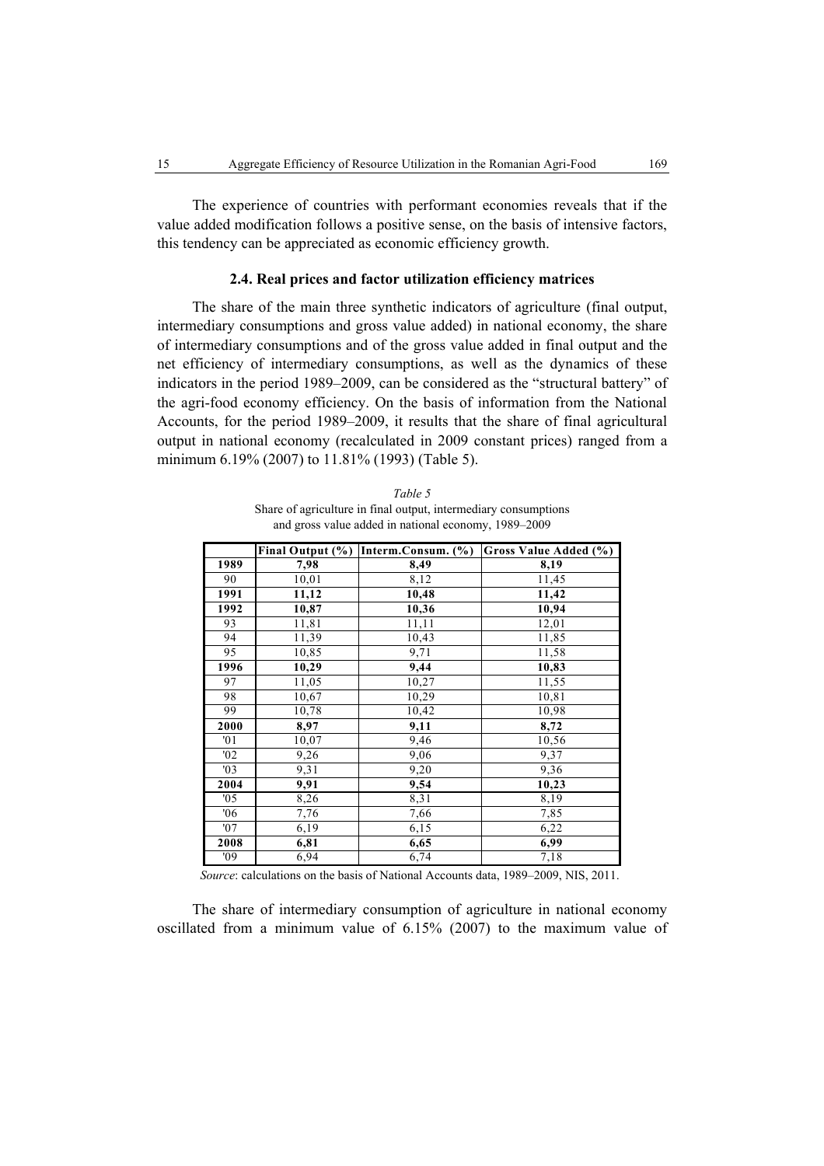The experience of countries with performant economies reveals that if the value added modification follows a positive sense, on the basis of intensive factors, this tendency can be appreciated as economic efficiency growth.

### **2.4. Real prices and factor utilization efficiency matrices**

The share of the main three synthetic indicators of agriculture (final output, intermediary consumptions and gross value added) in national economy, the share of intermediary consumptions and of the gross value added in final output and the net efficiency of intermediary consumptions, as well as the dynamics of these indicators in the period 1989–2009, can be considered as the "structural battery" of the agri-food economy efficiency. On the basis of information from the National Accounts, for the period 1989–2009, it results that the share of final agricultural output in national economy (recalculated in 2009 constant prices) ranged from a minimum 6.19% (2007) to 11.81% (1993) (Table 5).

| Table 5                                                         |
|-----------------------------------------------------------------|
| Share of agriculture in final output, intermediary consumptions |
| and gross value added in national economy, 1989–2009            |

|      |       | Final Output (%) Interm.Consum. (%) | Gross Value Added (%) |
|------|-------|-------------------------------------|-----------------------|
| 1989 | 7,98  | 8,49                                | 8,19                  |
| 90   | 10,01 | 8,12                                | 11,45                 |
| 1991 | 11,12 | 10,48                               | 11,42                 |
| 1992 | 10,87 | 10,36                               | 10,94                 |
| 93   | 11,81 | 11,11                               | 12,01                 |
| 94   | 11,39 | 10,43                               | 11,85                 |
| 95   | 10,85 | 9,71                                | 11,58                 |
| 1996 | 10,29 | 9,44                                | 10,83                 |
| 97   | 11,05 | 10,27                               | 11,55                 |
| 98   | 10,67 | 10,29                               | 10,81                 |
| 99   | 10,78 | 10,42                               | 10,98                 |
| 2000 | 8,97  | 9,11                                | 8,72                  |
| '01  | 10,07 | 9,46                                | 10,56                 |
| '02  | 9,26  | 9,06                                | 9,37                  |
| '03  | 9,31  | 9,20                                | 9,36                  |
| 2004 | 9,91  | 9,54                                | 10,23                 |
| '05  | 8,26  | 8,31                                | 8,19                  |
| 06'  | 7,76  | 7,66                                | 7,85                  |
| '07  | 6,19  | 6,15                                | 6,22                  |
| 2008 | 6,81  | 6,65                                | 6,99                  |
| '09  | 6,94  | 6,74                                | 7,18                  |

*Source*: calculations on the basis of National Accounts data, 1989–2009, NIS, 2011.

The share of intermediary consumption of agriculture in national economy oscillated from a minimum value of 6.15% (2007) to the maximum value of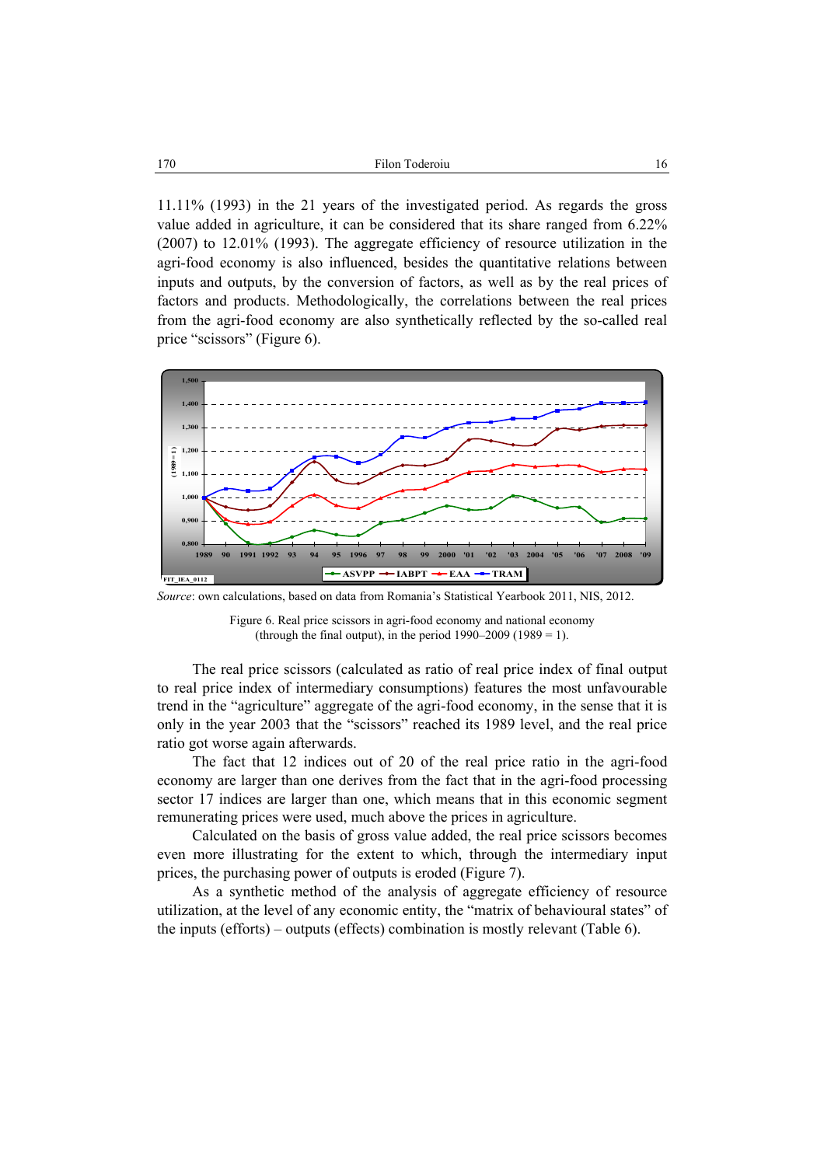11.11% (1993) in the 21 years of the investigated period. As regards the gross value added in agriculture, it can be considered that its share ranged from 6.22% (2007) to 12.01% (1993). The aggregate efficiency of resource utilization in the agri-food economy is also influenced, besides the quantitative relations between inputs and outputs, by the conversion of factors, as well as by the real prices of factors and products. Methodologically, the correlations between the real prices from the agri-food economy are also synthetically reflected by the so-called real price "scissors" (Figure 6).



*Source*: own calculations, based on data from Romania's Statistical Yearbook 2011, NIS, 2012.

Figure 6. Real price scissors in agri-food economy and national economy (through the final output), in the period  $1990-2009$  ( $1989 = 1$ ).

The real price scissors (calculated as ratio of real price index of final output to real price index of intermediary consumptions) features the most unfavourable trend in the "agriculture" aggregate of the agri-food economy, in the sense that it is only in the year 2003 that the "scissors" reached its 1989 level, and the real price ratio got worse again afterwards.

The fact that 12 indices out of 20 of the real price ratio in the agri-food economy are larger than one derives from the fact that in the agri-food processing sector 17 indices are larger than one, which means that in this economic segment remunerating prices were used, much above the prices in agriculture.

Calculated on the basis of gross value added, the real price scissors becomes even more illustrating for the extent to which, through the intermediary input prices, the purchasing power of outputs is eroded (Figure 7).

As a synthetic method of the analysis of aggregate efficiency of resource utilization, at the level of any economic entity, the "matrix of behavioural states" of the inputs (efforts) – outputs (effects) combination is mostly relevant (Table 6).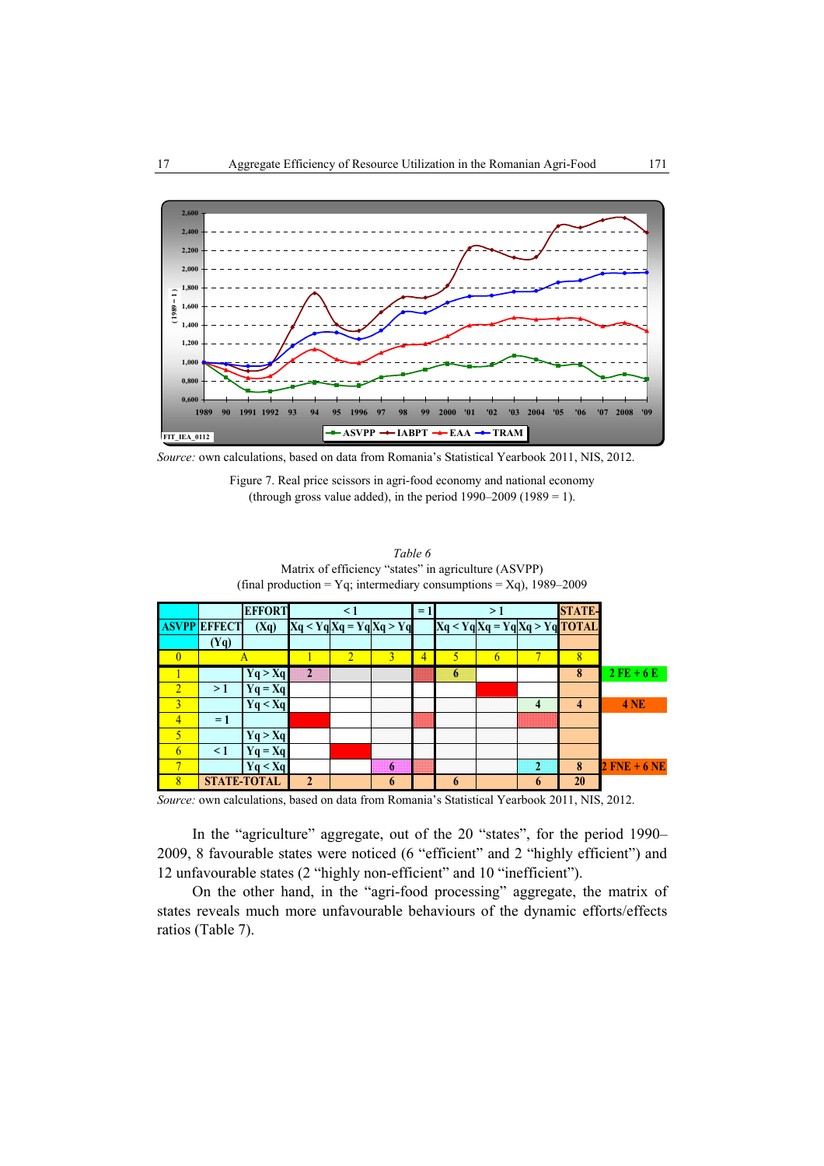

*Source:* own calculations, based on data from Romania's Statistical Yearbook 2011, NIS, 2012.

Figure 7. Real price scissors in agri-food economy and national economy (through gross value added), in the period  $1990-2009$  ( $1989 = 1$ ).

| Table 6<br>Matrix of efficiency "states" in agriculture (ASVPP)<br>(final production = Yq; intermediary consumptions = Xq), 1989–2009 |               |  |  |  |  |  |  |  |
|---------------------------------------------------------------------------------------------------------------------------------------|---------------|--|--|--|--|--|--|--|
| <b>EFFORT</b><br>$= 11$<br>$\leq 1$<br>> 1                                                                                            | <b>STATE-</b> |  |  |  |  |  |  |  |
| $Xq < YqXq = YqXq > Yq$ TOTAL<br>$Xq < Yq Xq = Yq Xq > Yq$<br><b>ASVPP EFFECT</b><br>(Xq)                                             |               |  |  |  |  |  |  |  |
| Ya)                                                                                                                                   |               |  |  |  |  |  |  |  |

|             | $\overline{2}$ | ,,,,,,,,,,,,,,,,,,,,,<br>---------------------------<br>0000000000000000000<br> | ,,,,,,,,,,,,,,,,,                                                                                                      |                                                                            |                                                                                                    |                                              | $\mathbf{o}$ | $2$ FE + 6 E   |
|-------------|----------------|---------------------------------------------------------------------------------|------------------------------------------------------------------------------------------------------------------------|----------------------------------------------------------------------------|----------------------------------------------------------------------------------------------------|----------------------------------------------|--------------|----------------|
|             |                |                                                                                 |                                                                                                                        |                                                                            |                                                                                                    |                                              |              |                |
|             |                |                                                                                 | ,,,,,,,,,,,,,,,,,<br>,,,,,,,,,,,,,,,,,,,,,<br>                                                                         | ,,,,,,,,,,,,,,,,,,,<br><br>,,,,,,,,,,,,,,,,,,,,,                           | ,,,,,,,,,,,,,,,,,,,,<br>,,,,,,,,,,,,,,,,,,,,<br>,,,,,,,,,,,,,,,,,,,,                               |                                              |              | <b>4 NE</b>    |
|             |                |                                                                                 | .<br><br>.<br>,,,,,,,,,,,,,,,,,,,,<br>,,,,,,,,,,,,,,,,,,,,,<br>,,,,,,,,,,,,,,,,,,,,                                    | ,,,,,,,,,,,,,,,,,,,,,,<br>,,,,,,,,,,,,,,,,,,,,,,<br>,,,,,,,,,,,,,,,,,,,,,, | .<br>                                                                                              |                                              |              |                |
| Yq > Xq     |                |                                                                                 | ,,,,,,,,,,,,,,,,,,,,,<br>,,,,,,,,,,,,,,,,,,,,,<br>,,,,,,,,,,,,,,,,,,,,<br>,,,,,,,,,,,,,,,,,,,<br>,,,,,,,,,,,,,,,,,,,,, | ,,,,,,,,,,,,,,,,,,,,,<br>,,,,,,,,,,,,,,,,,,,,,<br>,,,,,,,,,,,,,,,,,,,,,,   | ,,,,,,,,,,,,,,,,,,,,,,,<br>,,,,,,,,,,,,,,,,,,,,,,<br>,,,,,,,,,,,,,,,,,,,,,<br>,,,,,,,,,,,,,,,,,,,, | ,,,,,,,,,,,,,,,,,,,,<br>,,,,,,,,,,,,,,,,,,,, |              |                |
|             |                |                                                                                 | ,,,,,,,,,,,,,,,,,,,,,<br>,,,,,,,,,,,,,,,,,,,,,,,<br>,,,,,,,,,,,,,,,,,,,                                                | ,,,,,,,,,,,,,,,,,,,,,                                                      | ,,,,,,,,,,,,,,,,,,,,,,<br>,,,,,,,,,,,,,,,,,,,,,                                                    | ,,,,,,,,,,,,,,,,,,,,<br>                     |              |                |
|             |                |                                                                                 | o                                                                                                                      | ,,,,,,,,,,,,,,,,,,,,,<br>,,,,,,,,,,,,,,,,,,,,,,,<br>,,,,,,,,,,,,,,,,,,,,,  | ,,,,,,,,,,,,,,,,,,,<br>,,,,,,,,,,,,,,,,,,<br>,,,,,,,,,,,,,,,,,,,,,                                 |                                              | 8            | $2$ FNE + 6 NE |
| STATE-TOTAL | Δ              |                                                                                 |                                                                                                                        |                                                                            |                                                                                                    |                                              | 20           |                |

*Source:* own calculations, based on data from Romania's Statistical Yearbook 2011, NIS, 2012.

In the "agriculture" aggregate, out of the 20 "states", for the period 1990– 2009, 8 favourable states were noticed (6 "efficient" and 2 "highly efficient") and 12 unfavourable states (2 "highly non-efficient" and 10 "inefficient").

On the other hand, in the "agri-food processing" aggregate, the matrix of states reveals much more unfavourable behaviours of the dynamic efforts/effects ratios (Table 7).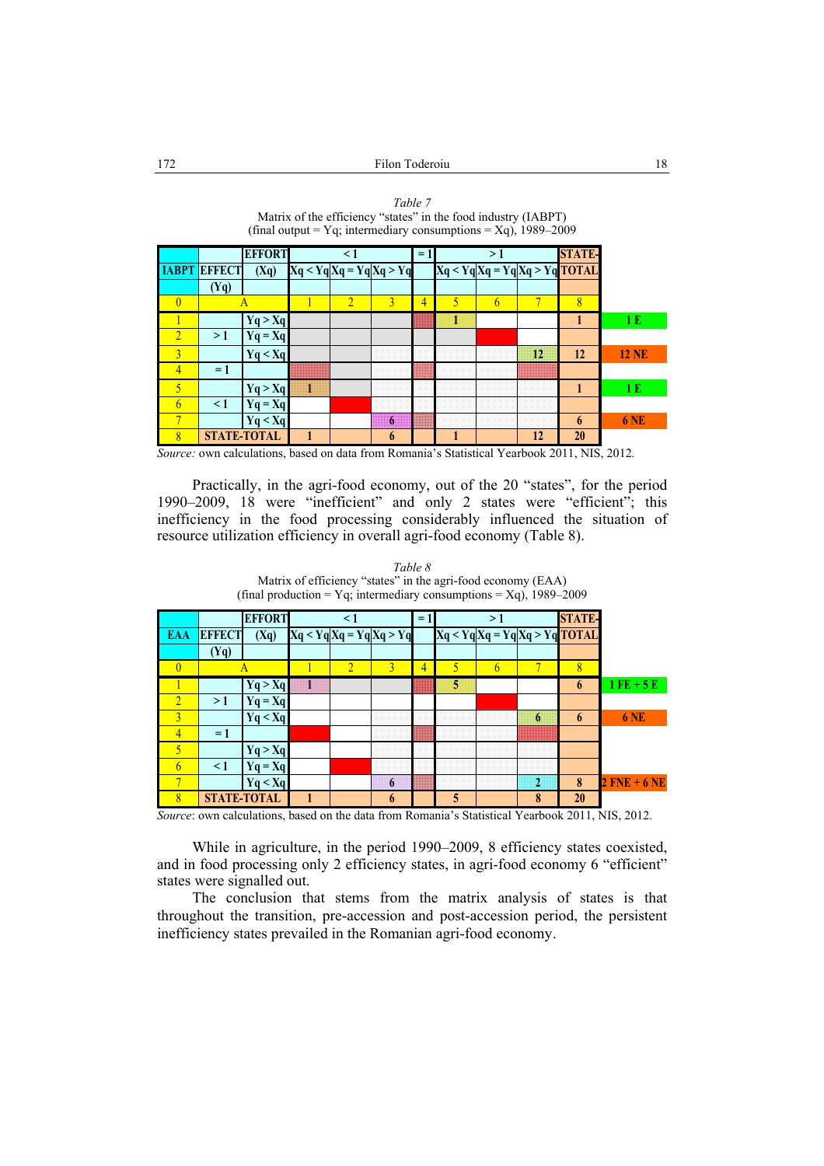| - 7, --------- <i>------</i> ,<br>$-1/2$ $-7/2$ |                     |                    |  |                |                               |      |                |    |    |                                     |              |
|-------------------------------------------------|---------------------|--------------------|--|----------------|-------------------------------|------|----------------|----|----|-------------------------------------|--------------|
|                                                 |                     | <b>EFFORT</b>      |  | $\leq$ 1       |                               | $=1$ |                | >1 |    | <b>STATE-</b>                       |              |
|                                                 | <b>IABPT EFFECT</b> | (Xq)               |  |                | $Xq < Yq$ $Xq = Yq$ $Xq > Yq$ |      |                |    |    | $Xq < Yq$ $Xq = Yq$ $Xq > Yq$ TOTAL |              |
|                                                 | (Yq)                |                    |  |                |                               |      |                |    |    |                                     |              |
| $\overline{0}$                                  |                     |                    |  | $\overline{2}$ | 3                             | 4    | $\overline{5}$ | 6  |    | 8                                   |              |
|                                                 |                     | Yq > Xq            |  |                |                               |      |                |    |    |                                     | 1E           |
| $\overline{2}$                                  | >1                  | $Yq = Xq$          |  |                |                               |      |                |    |    |                                     |              |
| $\overline{3}$                                  |                     | Yq < Xq            |  |                |                               |      |                |    | 12 | 12                                  | <b>12 NE</b> |
| 4                                               | $=1$                |                    |  |                |                               |      |                |    |    |                                     |              |
| 5                                               |                     | Yq > Xq            |  |                |                               |      |                |    |    | 1                                   | 1E           |
| 6                                               | $\leq$ 1            | $Yq = Xq$          |  |                |                               |      |                |    |    |                                     |              |
| 7                                               |                     | Yq < Xq            |  |                | 6                             |      |                |    |    | 6                                   | <b>6 NE</b>  |
| 8                                               |                     | <b>STATE-TOTAL</b> |  |                | 6                             |      |                |    | 12 | 20                                  |              |

*Table 7*  Matrix of the efficiency "states" in the food industry (IABPT) (final output = Yq; intermediary consumptions =  $Xq$ ), 1989–2009

*Source:* own calculations, based on data from Romania's Statistical Yearbook 2011, NIS, 2012.

Practically, in the agri-food economy, out of the 20 "states", for the period 1990–2009, 18 were "inefficient" and only 2 states were "efficient"; this inefficiency in the food processing considerably influenced the situation of resource utilization efficiency in overall agri-food economy (Table 8).

|                         |               | <b>EFFORT</b>      |    | $\leq$ 1       |                           | $=1$ |   | >1 |                | <b>STATE-</b>                 |                |
|-------------------------|---------------|--------------------|----|----------------|---------------------------|------|---|----|----------------|-------------------------------|----------------|
| <b>EAA</b>              | <b>EFFECT</b> | (Xq)               |    |                | $Xq < Yq Xq = Yq Xq > Yq$ |      |   |    |                | $Xq < YqXq = YqXq > Yq$ TOTAL |                |
|                         | (Yq)          |                    |    |                |                           |      |   |    |                |                               |                |
| $\mathbf{0}$            |               | A                  |    | $\overline{2}$ | $\overline{3}$            | 4    | 5 | 6  |                | 8                             |                |
|                         |               | Yq > Xq            | J. |                |                           |      | 5 |    |                | 6                             | $1$ FE + 5 E   |
| $\overline{2}$          | >1            | $Yq = Xq$          |    |                |                           |      |   |    |                |                               |                |
| $\overline{3}$          |               | Yq < Xq            |    |                |                           |      |   |    | 6              | 6                             | <b>6 NE</b>    |
| 4                       | $=1$          |                    |    |                |                           |      |   |    |                |                               |                |
| 5                       |               | Yq > Xq            |    |                |                           |      |   |    |                |                               |                |
| 6                       | $\leq$ 1      | $Yq = Xq$          |    |                |                           |      |   |    |                |                               |                |
| $\overline{\mathbf{u}}$ |               | Yq < Xq            |    |                | 6                         |      |   |    | $\overline{2}$ | 8                             | $2$ FNE + 6 NE |
| $\overline{\mathbf{R}}$ |               | <b>STATE-TOTAL</b> | 1  |                | 6                         |      | 5 |    | 8              | 20                            |                |

*Table 8*  Matrix of efficiency "states" in the agri-food economy (EAA) (final production = Yq; intermediary consumptions = Xq), 1989–2009

*Source*: own calculations, based on the data from Romania's Statistical Yearbook 2011, NIS, 2012.

While in agriculture, in the period 1990–2009, 8 efficiency states coexisted, and in food processing only 2 efficiency states, in agri-food economy 6 "efficient" states were signalled out.

The conclusion that stems from the matrix analysis of states is that throughout the transition, pre-accession and post-accession period, the persistent inefficiency states prevailed in the Romanian agri-food economy.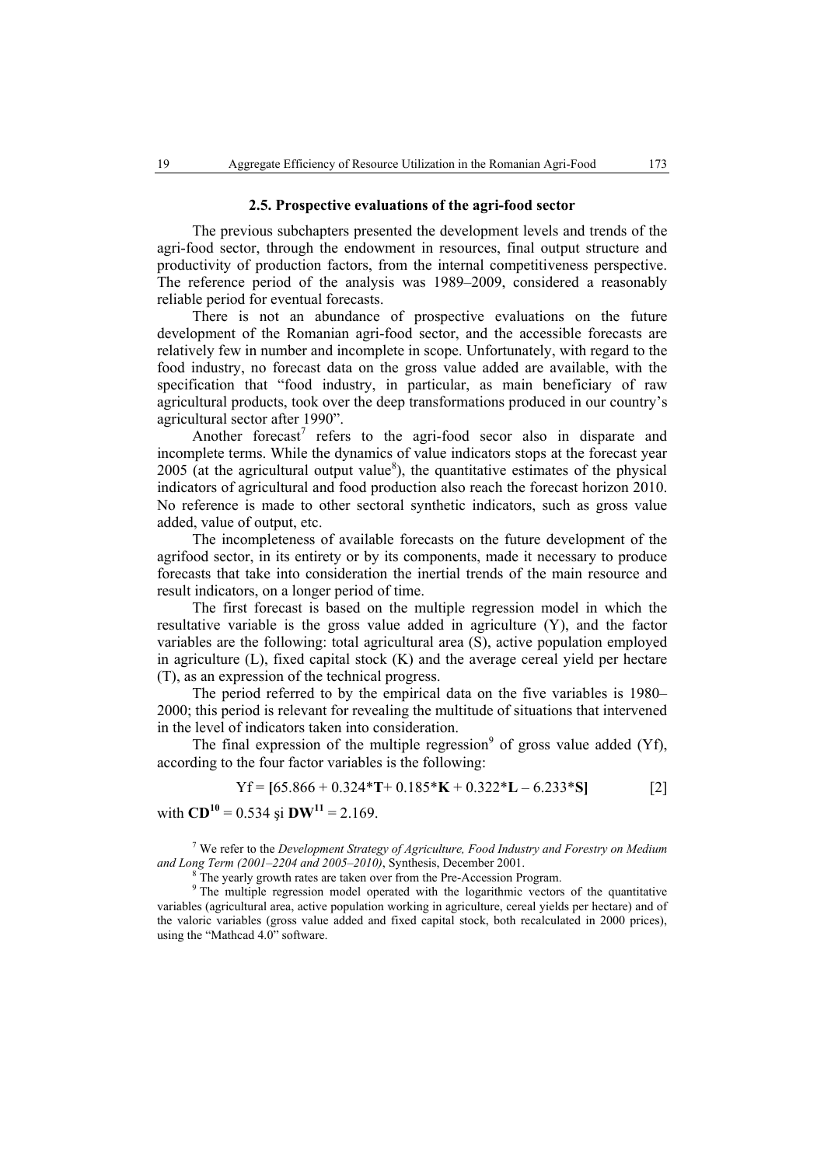#### **2.5. Prospective evaluations of the agri-food sector**

The previous subchapters presented the development levels and trends of the agri-food sector, through the endowment in resources, final output structure and productivity of production factors, from the internal competitiveness perspective. The reference period of the analysis was 1989–2009, considered a reasonably reliable period for eventual forecasts.

There is not an abundance of prospective evaluations on the future development of the Romanian agri-food sector, and the accessible forecasts are relatively few in number and incomplete in scope. Unfortunately, with regard to the food industry, no forecast data on the gross value added are available, with the specification that "food industry, in particular, as main beneficiary of raw agricultural products, took over the deep transformations produced in our country's agricultural sector after 1990".

Another forecast<sup>7</sup> refers to the agri-food secor also in disparate and incomplete terms. While the dynamics of value indicators stops at the forecast year 2005 (at the agricultural output value<sup>8</sup>), the quantitative estimates of the physical indicators of agricultural and food production also reach the forecast horizon 2010. No reference is made to other sectoral synthetic indicators, such as gross value added, value of output, etc.

The incompleteness of available forecasts on the future development of the agrifood sector, in its entirety or by its components, made it necessary to produce forecasts that take into consideration the inertial trends of the main resource and result indicators, on a longer period of time.

The first forecast is based on the multiple regression model in which the resultative variable is the gross value added in agriculture (Y), and the factor variables are the following: total agricultural area (S), active population employed in agriculture (L), fixed capital stock (K) and the average cereal yield per hectare (T), as an expression of the technical progress.

The period referred to by the empirical data on the five variables is 1980– 2000; this period is relevant for revealing the multitude of situations that intervened in the level of indicators taken into consideration.

The final expression of the multiple regression<sup>9</sup> of gross value added (Yf), according to the four factor variables is the following:

$$
Yf = [65.866 + 0.324 * T + 0.185 * K + 0.322 * L - 6.233 * S]
$$
 [2]

with  $CD^{10} = 0.534$  si  $DW^{11} = 2.169$ .

7 We refer to the *Development Strategy of Agriculture, Food Industry and Forestry on Medium*  and Long Term (2001–2204 and 2005–2010), Synthesis, December 2001.

The yearly growth rates are taken over from the Pre-Accession Program.

<sup>9</sup> The multiple regression model operated with the logarithmic vectors of the quantitative variables (agricultural area, active population working in agriculture, cereal yields per hectare) and of the valoric variables (gross value added and fixed capital stock, both recalculated in 2000 prices), using the "Mathcad 4.0" software.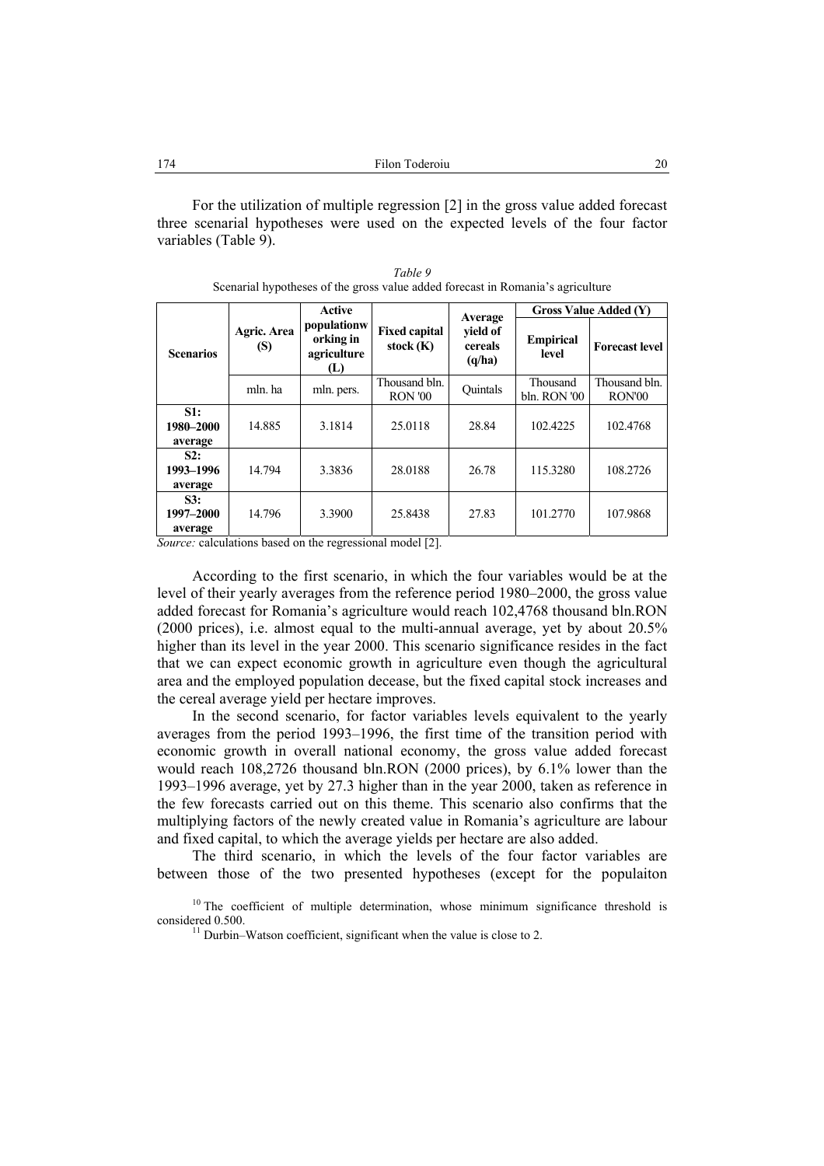For the utilization of multiple regression [2] in the gross value added forecast three scenarial hypotheses were used on the expected levels of the four factor variables (Table 9).

|                             |                    | Active                                         |                                     |                                          | <b>Gross Value Added (Y)</b> |                         |  |
|-----------------------------|--------------------|------------------------------------------------|-------------------------------------|------------------------------------------|------------------------------|-------------------------|--|
| <b>Scenarios</b>            | Agric. Area<br>(S) | populationw<br>orking in<br>agriculture<br>(L) | <b>Fixed capital</b><br>stock $(K)$ | Average<br>yield of<br>cereals<br>(q/ha) | <b>Empirical</b><br>level    | <b>Forecast level</b>   |  |
|                             | mln. ha            | mln. pers.                                     | Thousand bln.<br><b>RON '00</b>     | Ouintals                                 | Thousand<br>bln. RON '00     | Thousand bln.<br>RON'00 |  |
| S1:<br>1980–2000<br>average | 14.885             | 3.1814                                         | 25.0118                             | 28.84                                    | 102.4225                     | 102.4768                |  |
| S2:<br>1993-1996<br>average | 14.794             | 3.3836                                         | 28.0188                             | 26.78                                    | 115.3280                     | 108.2726                |  |
| S3:<br>1997–2000<br>average | 14.796             | 3.3900                                         | 25.8438                             | 27.83                                    | 101.2770                     | 107.9868                |  |

| Table 9                                                                         |
|---------------------------------------------------------------------------------|
| Scenarial hypotheses of the gross value added forecast in Romania's agriculture |

*Source:* calculations based on the regressional model [2].

According to the first scenario, in which the four variables would be at the level of their yearly averages from the reference period 1980–2000, the gross value added forecast for Romania's agriculture would reach 102,4768 thousand bln.RON (2000 prices), i.e. almost equal to the multi-annual average, yet by about 20.5% higher than its level in the year 2000. This scenario significance resides in the fact that we can expect economic growth in agriculture even though the agricultural area and the employed population decease, but the fixed capital stock increases and the cereal average yield per hectare improves.

In the second scenario, for factor variables levels equivalent to the yearly averages from the period 1993–1996, the first time of the transition period with economic growth in overall national economy, the gross value added forecast would reach 108,2726 thousand bln.RON (2000 prices), by 6.1% lower than the 1993–1996 average, yet by 27.3 higher than in the year 2000, taken as reference in the few forecasts carried out on this theme. This scenario also confirms that the multiplying factors of the newly created value in Romania's agriculture are labour and fixed capital, to which the average yields per hectare are also added.

The third scenario, in which the levels of the four factor variables are between those of the two presented hypotheses (except for the populaiton

<sup>&</sup>lt;sup>10</sup> The coefficient of multiple determination, whose minimum significance threshold is considered 0.500. <sup>11</sup> Durbin–Watson coefficient, significant when the value is close to 2.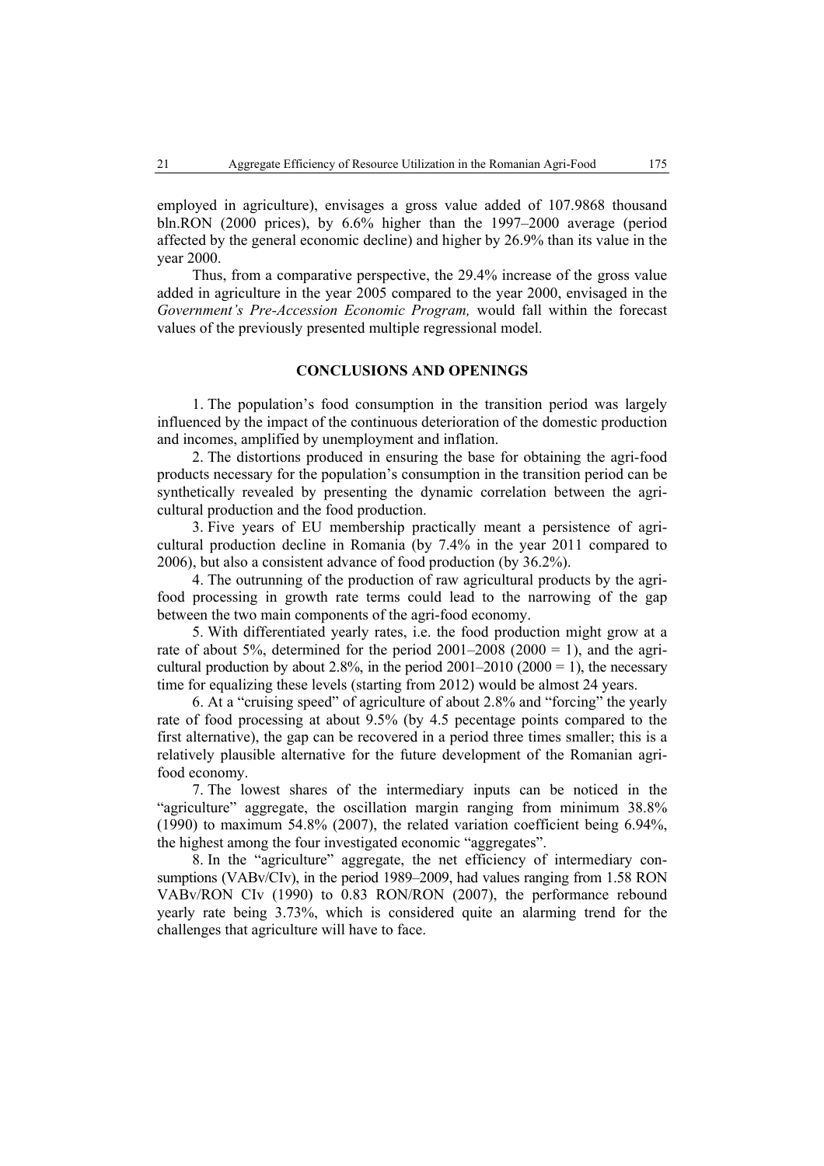employed in agriculture), envisages a gross value added of 107.9868 thousand bln.RON (2000 prices), by 6.6% higher than the 1997–2000 average (period affected by the general economic decline) and higher by 26.9% than its value in the year 2000.

Thus, from a comparative perspective, the 29.4% increase of the gross value added in agriculture in the year 2005 compared to the year 2000, envisaged in the *Government's Pre-Accession Economic Program,* would fall within the forecast values of the previously presented multiple regressional model.

# **CONCLUSIONS AND OPENINGS**

1. The population's food consumption in the transition period was largely influenced by the impact of the continuous deterioration of the domestic production and incomes, amplified by unemployment and inflation.

2. The distortions produced in ensuring the base for obtaining the agri-food products necessary for the population's consumption in the transition period can be synthetically revealed by presenting the dynamic correlation between the agricultural production and the food production.

3. Five years of EU membership practically meant a persistence of agricultural production decline in Romania (by 7.4% in the year 2011 compared to 2006), but also a consistent advance of food production (by 36.2%).

4. The outrunning of the production of raw agricultural products by the agrifood processing in growth rate terms could lead to the narrowing of the gap between the two main components of the agri-food economy.

5. With differentiated yearly rates, i.e. the food production might grow at a rate of about 5%, determined for the period  $2001-2008$  ( $2000 = 1$ ), and the agricultural production by about 2.8%, in the period  $2001-2010$  ( $2000 = 1$ ), the necessary time for equalizing these levels (starting from 2012) would be almost 24 years.

6. At a "cruising speed" of agriculture of about 2.8% and "forcing" the yearly rate of food processing at about 9.5% (by 4.5 pecentage points compared to the first alternative), the gap can be recovered in a period three times smaller; this is a relatively plausible alternative for the future development of the Romanian agrifood economy.

7. The lowest shares of the intermediary inputs can be noticed in the "agriculture" aggregate, the oscillation margin ranging from minimum 38.8% (1990) to maximum 54.8% (2007), the related variation coefficient being 6.94%, the highest among the four investigated economic "aggregates".

8. In the "agriculture" aggregate, the net efficiency of intermediary consumptions (VABv/CIv), in the period 1989–2009, had values ranging from 1.58 RON VABv/RON CIv (1990) to 0.83 RON/RON (2007), the performance rebound yearly rate being 3.73%, which is considered quite an alarming trend for the challenges that agriculture will have to face.